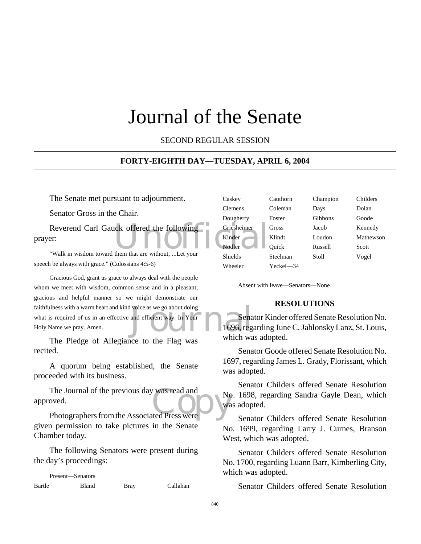# Journal of the Senate

SECOND REGULAR SESSION

#### **FORTY-EIGHTH DAY—TUESDAY, APRIL 6, 2004**

The Senate met pursuant to adjournment.

Senator Gross in the Chair.

Reverend Carl Gauck offered the following<br>
Finder<br>
Walk in wisdom toward them that are without. ...Let your<br>
Walk in wisdom toward them that are without. ...Let your prayer:

"Walk in wisdom toward them that are without, ...Let your speech be always with grace." (Colossians 4:5-6)

voice as we go about doing<br>and efficient way. In Your<br>1696, reg Gracious God, grant us grace to always deal with the people whom we meet with wisdom, common sense and in a pleasant, gracious and helpful manner so we might demonstrate our faithfulness with a warm heart and kind voice as we go about doing what is required of us in an effective and efficient way. In Your Holy Name we pray. Amen.

The Pledge of Allegiance to the Flag was recited.

A quorum being established, the Senate proceeded with its business.

The Journal of the previous day was read and<br>
oved.<br>
Photographers from the Associated Press were approved.

Photographers from the Associated Press were given permission to take pictures in the Senate Chamber today.

The following Senators were present during the day's proceedings:

Present—Senators Bartle Bland Bray Callahan

| Caskey         | Cauthorn  | Champion | Childers  |
|----------------|-----------|----------|-----------|
| <b>Clemens</b> | Coleman   | Days     | Dolan     |
| Dougherty      | Foster    | Gibbons  | Goode     |
| Griesheimer    | Gross     | Jacob    | Kennedy   |
| Kinder         | Klindt    | Loudon   | Mathewson |
| Nodler         | Ouick     | Russell  | Scott     |
| <b>Shields</b> | Steelman  | Stoll    | Vogel     |
| Wheeler        | Yeckel—34 |          |           |
|                |           |          |           |

Absent with leave—Senators—None

## **RESOLUTIONS**

Senator Kinder offered Senate Resolution No. 1696, regarding June C. Jablonsky Lanz, St. Louis, which was adopted.

Senator Goode offered Senate Resolution No. 1697, regarding James L. Grady, Florissant, which was adopted.

Senator Childers offered Senate Resolution No. 1698, regarding Sandra Gayle Dean, which was adopted.

Senator Childers offered Senate Resolution No. 1699, regarding Larry J. Curnes, Branson West, which was adopted.

Senator Childers offered Senate Resolution No. 1700, regarding Luann Barr, Kimberling City, which was adopted.

Senator Childers offered Senate Resolution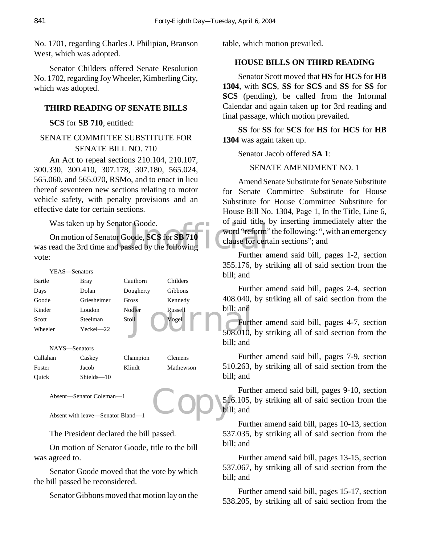No. 1701, regarding Charles J. Philipian, Branson West, which was adopted.

Senator Childers offered Senate Resolution No. 1702, regarding Joy Wheeler, Kimberling City, which was adopted.

#### **THIRD READING OF SENATE BILLS**

**SCS** for **SB 710**, entitled:

# SENATE COMMITTEE SUBSTITUTE FOR SENATE BILL NO. 710

An Act to repeal sections 210.104, 210.107, 300.330, 300.410, 307.178, 307.180, 565.024, 565.060, and 565.070, RSMo, and to enact in lieu thereof seventeen new sections relating to motor vehicle safety, with penalty provisions and an effective date for certain sections.

Was taken up by Senator Goode.

mator Goode.<br>
Or Goode, **SCS** for **SB 710**<br>
depassed by the following On motion of Senator Goode, **SCS** for **SB 710** was read the 3rd time and passed by the following vote:

|  | YEAS—Senators |  |
|--|---------------|--|
|  |               |  |

| Bartle  | <b>Bray</b> | Cauthorn  | Childers |           |
|---------|-------------|-----------|----------|-----------|
| Days    | Dolan       | Dougherty | Gibbons  | Furtl     |
| Goode   | Griesheimer | Gross     | Kennedy  | 408.040,  |
| Kinder  | Loudon      | Nodler    | Russell  | bill; and |
| Scott   | Steelman    | Stoll     | Vogel    | Furtl     |
| Wheeler | Yeckel—22   |           |          | 508.010.  |

NAYS—Senators

| Callahan | Caskey        | Champion | <b>Clemens</b> |
|----------|---------------|----------|----------------|
| Foster   | Jacob         | Klindt   | Mathewson      |
| Ouick    | $Shields -10$ |          |                |

Absent—Senator Coleman—1

Absent with leave—Senator Bland—1

The President declared the bill passed.

On motion of Senator Goode, title to the bill was agreed to.

Senator Goode moved that the vote by which the bill passed be reconsidered.

Senator Gibbons moved that motion lay on the

table, which motion prevailed.

#### **HOUSE BILLS ON THIRD READING**

Senator Scott moved that **HS** for **HCS** for **HB 1304**, with **SCS**, **SS** for **SCS** and **SS** for **SS** for **SCS** (pending), be called from the Informal Calendar and again taken up for 3rd reading and final passage, which motion prevailed.

**SS** for **SS** for **SCS** for **HS** for **HCS** for **HB 1304** was again taken up.

Senator Jacob offered **SA 1**:

SENATE AMENDMENT NO. 1

Amend Senate Substitute for Senate Substitute for Senate Committee Substitute for House Substitute for House Committee Substitute for House Bill No. 1304, Page 1, In the Title, Line 6, of said title, by inserting immediately after the word "reform" the following: ", with an emergency clause for certain sections"; and

Further amend said bill, pages 1-2, section 355.176, by striking all of said section from the bill; and

Further amend said bill, pages 2-4, section 408.040, by striking all of said section from the bill; and

Further amend said bill, pages 4-7, section 508.010, by striking all of said section from the bill; and

Further amend said bill, pages 7-9, section 510.263, by striking all of said section from the bill; and

Copyin Further amend said bill, pages 9-10, section 516.105, by striking all of said section from the bill; and

Further amend said bill, pages 10-13, section 537.035, by striking all of said section from the bill; and

Further amend said bill, pages 13-15, section 537.067, by striking all of said section from the bill; and

Further amend said bill, pages 15-17, section 538.205, by striking all of said section from the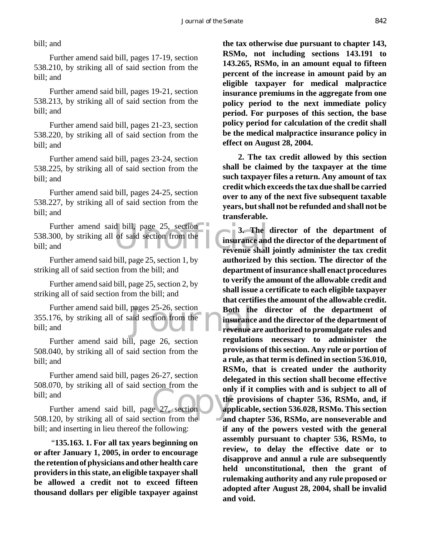bill; and

Further amend said bill, pages 17-19, section 538.210, by striking all of said section from the bill; and

Further amend said bill, pages 19-21, section 538.213, by striking all of said section from the bill; and

Further amend said bill, pages 21-23, section 538.220, by striking all of said section from the bill; and

Further amend said bill, pages 23-24, section 538.225, by striking all of said section from the bill; and

Further amend said bill, pages 24-25, section 538.227, by striking all of said section from the bill; and

Further amend said bill, page 25, section 3. The 300, by striking all of said section from the insurance and revenue shall 538.300, by striking all of said section from the bill; and

Further amend said bill, page 25, section 1, by striking all of said section from the bill; and

Further amend said bill, page 25, section 2, by striking all of said section from the bill; and

pages 25-26, section<br>aid section from the **linear and section**<br>revenue and the section Further amend said bill, pages 25-26, section 355.176, by striking all of said section from the bill; and

Further amend said bill, page 26, section 508.040, by striking all of said section from the bill; and

Further amend said bill, pages 26-27, section 508.070, by striking all of said section from the bill; and

e 27, section the approximate the contract of the set of the same that the contract of the same that the same of the same of the same of the same of the same of the same of the same of the same of the same of the same of t Further amend said bill, page 27, section 508.120, by striking all of said section from the bill; and inserting in lieu thereof the following:

 "**135.163. 1. For all tax years beginning on or after January 1, 2005, in order to encourage the retention of physicians and other health care providers in this state, an eligible taxpayer shall be allowed a credit not to exceed fifteen thousand dollars per eligible taxpayer against**

**the tax otherwise due pursuant to chapter 143, RSMo, not including sections 143.191 to 143.265, RSMo, in an amount equal to fifteen percent of the increase in amount paid by an eligible taxpayer for medical malpractice insurance premiums in the aggregate from one policy period to the next immediate policy period. For purposes of this section, the base policy period for calculation of the credit shall be the medical malpractice insurance policy in effect on August 28, 2004.**

**2. The tax credit allowed by this section shall be claimed by the taxpayer at the time such taxpayer files a return. Any amount of tax credit which exceeds the tax due shall be carried over to any of the next five subsequent taxable years, but shall not be refunded and shall not be transferable.**

**3. The director of the department of insurance and the director of the department of revenue shall jointly administer the tax credit authorized by this section. The director of the department of insurance shall enact procedures to verify the amount of the allowable credit and shall issue a certificate to each eligible taxpayer that certifies the amount of the allowable credit. Both the director of the department of insurance and the director of the department of revenue are authorized to promulgate rules and regulations necessary to administer the provisions of this section. Any rule or portion of a rule, as that term is defined in section 536.010, RSMo, that is created under the authority delegated in this section shall become effective only if it complies with and is subject to all of the provisions of chapter 536, RSMo, and, if applicable, section 536.028, RSMo. This section and chapter 536, RSMo, are nonseverable and if any of the powers vested with the general assembly pursuant to chapter 536, RSMo, to review, to delay the effective date or to disapprove and annul a rule are subsequently held unconstitutional, then the grant of rulemaking authority and any rule proposed or adopted after August 28, 2004, shall be invalid and void.**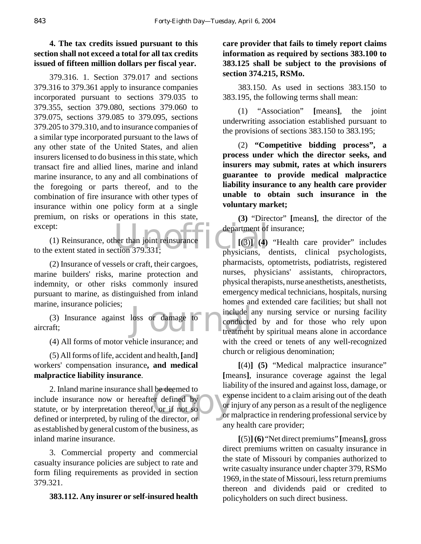# **4. The tax credits issued pursuant to this section shall not exceed a total for all tax credits issued of fifteen million dollars per fiscal year.**

379.316. 1. Section 379.017 and sections 379.316 to 379.361 apply to insurance companies incorporated pursuant to sections 379.035 to 379.355, section 379.080, sections 379.060 to 379.075, sections 379.085 to 379.095, sections 379.205 to 379.310, and to insurance companies of a similar type incorporated pursuant to the laws of any other state of the United States, and alien insurers licensed to do business in this state, which transact fire and allied lines, marine and inland marine insurance, to any and all combinations of the foregoing or parts thereof, and to the combination of fire insurance with other types of insurance within one policy form at a single premium, on risks or operations in this state, except:

department of<br>
ter than joint reinsurance<br>
ction 379.331;<br>
physicians, (1) Reinsurance, other than joint reinsurance to the extent stated in section 379.331;

(2) Insurance of vessels or craft, their cargoes, marine builders' risks, marine protection and indemnity, or other risks commonly insured pursuant to marine, as distinguished from inland marine, insurance policies;

loss or damage to conducted conducted conducted reatment (3) Insurance against loss or damage to aircraft;

(4) All forms of motor vehicle insurance; and

(5) All forms of life, accident and health, **[**and**]** workers' compensation insurance**, and medical malpractice liability insurance**.

The deemed to<br>
expand to the director of the director of the director of the director of the director of the director of the director of the director of the director of the director of the director of the director of the d 2. Inland marine insurance shall be deemed to include insurance now or hereafter defined by statute, or by interpretation thereof, or if not so defined or interpreted, by ruling of the director, or as established by general custom of the business, as inland marine insurance.

3. Commercial property and commercial casualty insurance policies are subject to rate and form filing requirements as provided in section 379.321.

# **383.112. Any insurer or self-insured health**

# **care provider that fails to timely report claims information as required by sections 383.100 to 383.125 shall be subject to the provisions of section 374.215, RSMo.**

383.150. As used in sections 383.150 to 383.195, the following terms shall mean:

(1) "Association" **[**means**]**, the joint underwriting association established pursuant to the provisions of sections 383.150 to 383.195;

(2) **"Competitive bidding process", a process under which the director seeks, and insurers may submit, rates at which insurers guarantee to provide medical malpractice liability insurance to any health care provider unable to obtain such insurance in the voluntary market;**

**(3)** "Director" **[**means**]**, the director of the department of insurance;

**[**(3)**] (4)** "Health care provider" includes physicians, dentists, clinical psychologists, pharmacists, optometrists, podiatrists, registered nurses, physicians' assistants, chiropractors, physical therapists, nurse anesthetists, anesthetists, emergency medical technicians, hospitals, nursing homes and extended care facilities; but shall not include any nursing service or nursing facility conducted by and for those who rely upon treatment by spiritual means alone in accordance with the creed or tenets of any well-recognized church or religious denomination;

**[**(4)**] (5)** "Medical malpractice insurance" **[**means**]**, insurance coverage against the legal liability of the insured and against loss, damage, or expense incident to a claim arising out of the death or injury of any person as a result of the negligence or malpractice in rendering professional service by any health care provider;

**[**(5)**](6)** "Net direct premiums" **[**means**]**, gross direct premiums written on casualty insurance in the state of Missouri by companies authorized to write casualty insurance under chapter 379, RSMo 1969, in the state of Missouri, less return premiums thereon and dividends paid or credited to policyholders on such direct business.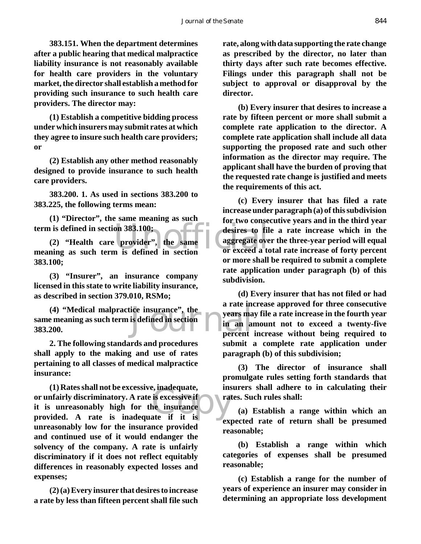**383.151. When the department determines after a public hearing that medical malpractice liability insurance is not reasonably available for health care providers in the voluntary market, the director shall establish a method for providing such insurance to such health care providers. The director may:**

**(1) Establish a competitive bidding process under which insurers may submit rates at which they agree to insure such health care providers; or**

**(2) Establish any other method reasonably designed to provide insurance to such health care providers.**

**383.200. 1. As used in sections 383.200 to 383.225, the following terms mean:**

**(1) "Director", the same meaning as such term is defined in section 383.100;**

on 383.100;<br>
provider", the same aggregate over the same aggregate over the same or exceed a to **(2) "Health care provider", the same meaning as such term is defined in section 383.100;**

**(3) "Insurer", an insurance company licensed in this state to write liability insurance, as described in section 379.010, RSMo;**

ice insurance", the<br>is defined in section<br>percent **(4) "Medical malpractice insurance", the same meaning as such term is defined in section 383.200.**

**2. The following standards and procedures shall apply to the making and use of rates pertaining to all classes of medical malpractice insurance:**

Excessive if<br>is excessive if<br>ne insurance<br>ate if it is **(1) Rates shall not be excessive, inadequate, or unfairly discriminatory. A rate is excessive if it is unreasonably high for the insurance provided. A rate is inadequate if it is unreasonably low for the insurance provided and continued use of it would endanger the solvency of the company. A rate is unfairly discriminatory if it does not reflect equitably differences in reasonably expected losses and expenses;**

**(2) (a) Every insurer that desires to increase a rate by less than fifteen percent shall file such**

**rate, along with data supporting the rate change as prescribed by the director, no later than thirty days after such rate becomes effective. Filings under this paragraph shall not be subject to approval or disapproval by the director.**

**(b) Every insurer that desires to increase a rate by fifteen percent or more shall submit a complete rate application to the director. A complete rate application shall include all data supporting the proposed rate and such other information as the director may require. The applicant shall have the burden of proving that the requested rate change is justified and meets the requirements of this act.**

**(c) Every insurer that has filed a rate increase under paragraph (a) of this subdivision for two consecutive years and in the third year desires to file a rate increase which in the aggregate over the three-year period will equal or exceed a total rate increase of forty percent or more shall be required to submit a complete rate application under paragraph (b) of this subdivision.**

**(d) Every insurer that has not filed or had a rate increase approved for three consecutive years may file a rate increase in the fourth year in an amount not to exceed a twenty-five percent increase without being required to submit a complete rate application under paragraph (b) of this subdivision;**

**(3) The director of insurance shall promulgate rules setting forth standards that insurers shall adhere to in calculating their rates. Such rules shall:**

**(a) Establish a range within which an expected rate of return shall be presumed reasonable;**

**(b) Establish a range within which categories of expenses shall be presumed reasonable;**

**(c) Establish a range for the number of years of experience an insurer may consider in determining an appropriate loss development**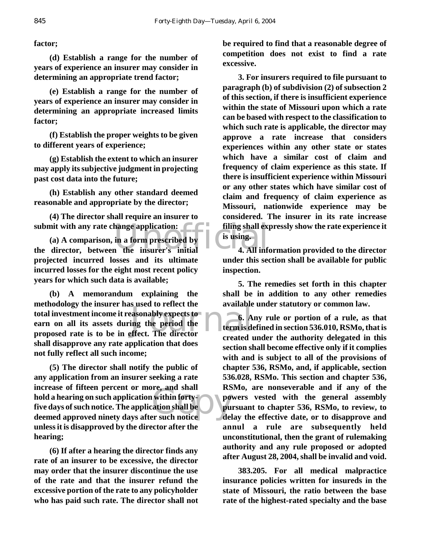#### **factor;**

**(d) Establish a range for the number of years of experience an insurer may consider in determining an appropriate trend factor;**

**(e) Establish a range for the number of years of experience an insurer may consider in determining an appropriate increased limits factor;**

**(f) Establish the proper weights to be given to different years of experience;**

**(g) Establish the extent to which an insurer may apply its subjective judgment in projecting past cost data into the future;**

**(h) Establish any other standard deemed reasonable and appropriate by the director;**

**(4) The director shall require an insurer to submit with any rate change application:**

submit with any rate change application: (a) A comparison, in a form prescribed by the director, between the insurer's initial at All information. **(a) A comparison, in a form prescribed by projected incurred losses and its ultimate incurred losses for the eight most recent policy years for which such data is available;**

expects to<br>
ing the period the<br>
ffect. The director<br>
created in **(b) A memorandum explaining the methodology the insurer has used to reflect the total investment income it reasonably expects to earn on all its assets during the period the proposed rate is to be in effect. The director shall disapprove any rate application that does not fully reflect all such income;**

Free, and shall<br>within forty-<br>ation shall be pure such notice<br>of the del **(5) The director shall notify the public of any application from an insurer seeking a rate increase of fifteen percent or more, and shall hold a hearing on such application within fortyfive days of such notice. The application shall be deemed approved ninety days after such notice unless it is disapproved by the director after the hearing;**

**(6) If after a hearing the director finds any rate of an insurer to be excessive, the director may order that the insurer discontinue the use of the rate and that the insurer refund the excessive portion of the rate to any policyholder who has paid such rate. The director shall not**

**be required to find that a reasonable degree of competition does not exist to find a rate excessive.**

**3. For insurers required to file pursuant to paragraph (b) of subdivision (2) of subsection 2 of this section, if there is insufficient experience within the state of Missouri upon which a rate can be based with respect to the classification to which such rate is applicable, the director may approve a rate increase that considers experiences within any other state or states which have a similar cost of claim and frequency of claim experience as this state. If there is insufficient experience within Missouri or any other states which have similar cost of claim and frequency of claim experience as Missouri, nationwide experience may be considered. The insurer in its rate increase filing shall expressly show the rate experience it is using.**

**4. All information provided to the director under this section shall be available for public inspection.**

**5. The remedies set forth in this chapter shall be in addition to any other remedies available under statutory or common law.**

**6. Any rule or portion of a rule, as that term is defined in section 536.010, RSMo, that is created under the authority delegated in this section shall become effective only if it complies with and is subject to all of the provisions of chapter 536, RSMo, and, if applicable, section 536.028, RSMo. This section and chapter 536, RSMo, are nonseverable and if any of the powers vested with the general assembly pursuant to chapter 536, RSMo, to review, to delay the effective date, or to disapprove and annul a rule are subsequently held unconstitutional, then the grant of rulemaking authority and any rule proposed or adopted after August 28, 2004, shall be invalid and void.**

**383.205. For all medical malpractice insurance policies written for insureds in the state of Missouri, the ratio between the base rate of the highest-rated specialty and the base**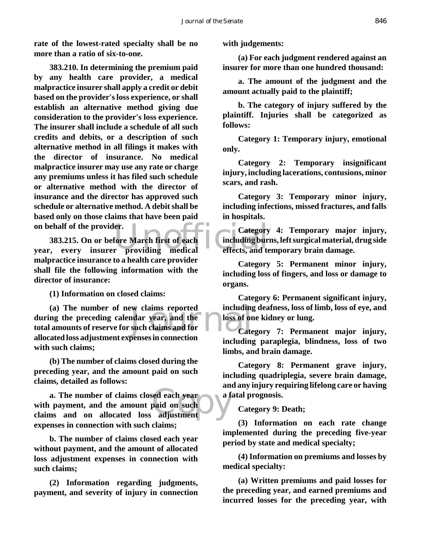**rate of the lowest-rated specialty shall be no more than a ratio of six-to-one.**

**383.210. In determining the premium paid by any health care provider, a medical malpractice insurer shall apply a credit or debit based on the provider's loss experience, or shall establish an alternative method giving due consideration to the provider's loss experience. The insurer shall include a schedule of all such credits and debits, or a description of such alternative method in all filings it makes with the director of insurance. No medical malpractice insurer may use any rate or charge any premiums unless it has filed such schedule or alternative method with the director of insurance and the director has approved such schedule or alternative method. A debit shall be based only on those claims that have been paid on behalf of the provider.**

on behalf of the provider.<br>
383.215. On or before March first of each<br>
year, every insurer providing medical<br>
effects, and to **383.215. On or before March first of each malpractice insurance to a health care provider shall file the following information with the director of insurance:**

**(1) Information on closed claims:**

Even claims reported including<br>
and the loss of or<br>
such claims and for<br>
cate **(a) The number of new claims reported during the preceding calendar year, and the total amounts of reserve for such claims and for allocated loss adjustment expenses in connection with such claims;**

**(b) The number of claims closed during the preceding year, and the amount paid on such claims, detailed as follows:**

ed each year<br>paid on such<br>adjustment **a. The number of claims closed each year with payment, and the amount paid on such claims and on allocated loss adjustment expenses in connection with such claims;**

**b. The number of claims closed each year without payment, and the amount of allocated loss adjustment expenses in connection with such claims;**

**(2) Information regarding judgments, payment, and severity of injury in connection** **with judgements:**

**(a) For each judgment rendered against an insurer for more than one hundred thousand:**

**a. The amount of the judgment and the amount actually paid to the plaintiff;**

**b. The category of injury suffered by the plaintiff. Injuries shall be categorized as follows:**

**Category 1: Temporary injury, emotional only.**

**Category 2: Temporary insignificant injury, including lacerations, contusions, minor scars, and rash.**

**Category 3: Temporary minor injury, including infections, missed fractures, and falls in hospitals.**

**Category 4: Temporary major injury, including burns, left surgical material, drug side effects, and temporary brain damage.**

**Category 5: Permanent minor injury, including loss of fingers, and loss or damage to organs.**

**Category 6: Permanent significant injury, including deafness, loss of limb, loss of eye, and loss of one kidney or lung.**

**Category 7: Permanent major injury, including paraplegia, blindness, loss of two limbs, and brain damage.**

**Category 8: Permanent grave injury, including quadriplegia, severe brain damage, and any injury requiring lifelong care or having a fatal prognosis.**

**Category 9: Death;**

**(3) Information on each rate change implemented during the preceding five-year period by state and medical specialty;**

**(4) Information on premiums and losses by medical specialty:**

**(a) Written premiums and paid losses for the preceding year, and earned premiums and incurred losses for the preceding year, with**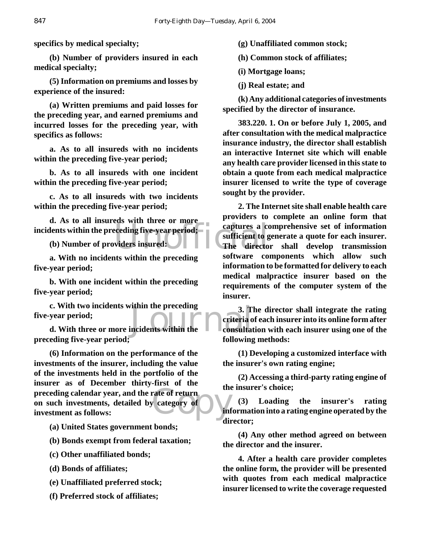**specifics by medical specialty;**

**(b) Number of providers insured in each medical specialty;**

**(5) Information on premiums and losses by experience of the insured:**

**(a) Written premiums and paid losses for the preceding year, and earned premiums and incurred losses for the preceding year, with specifics as follows:**

**a. As to all insureds with no incidents within the preceding five-year period;**

**b. As to all insureds with one incident within the preceding five-year period;**

**c. As to all insureds with two incidents within the preceding five-year period;**

incidents within the preceding five-year period;<br>
(b) Number of providers insured:<br>
The directo **d. As to all insureds with three or more**

**(b) Number of providers insured:**

**a. With no incidents within the preceding five-year period;**

**b. With one incident within the preceding five-year period;**

**c. With two incidents within the preceding a**<br>
year period;<br> **d. With three or more incidents within the**<br> **d. With three or more incidents within the c. With two incidents within the preceding five-year period;**

**preceding five-year period;**

preceding calendar year, and the rate of return<br>on such investments, detailed by category of<br>investment as follows: **(6) Information on the performance of the investments of the insurer, including the value of the investments held in the portfolio of the insurer as of December thirty-first of the on such investments, detailed by category of investment as follows:**

**(a) United States government bonds;**

**(b) Bonds exempt from federal taxation;**

**(c) Other unaffiliated bonds;**

**(d) Bonds of affiliates;**

**(e) Unaffiliated preferred stock;**

**(f) Preferred stock of affiliates;**

**(g) Unaffiliated common stock;**

**(h) Common stock of affiliates;**

**(i) Mortgage loans;**

**(j) Real estate; and**

**(k) Any additional categories of investments specified by the director of insurance.**

**383.220. 1. On or before July 1, 2005, and after consultation with the medical malpractice insurance industry, the director shall establish an interactive Internet site which will enable any health care provider licensed in this state to obtain a quote from each medical malpractice insurer licensed to write the type of coverage sought by the provider.**

**2. The Internet site shall enable health care providers to complete an online form that captures a comprehensive set of information sufficient to generate a quote for each insurer. The director shall develop transmission software components which allow such information to be formatted for delivery to each medical malpractice insurer based on the requirements of the computer system of the insurer.**

**3. The director shall integrate the rating criteria of each insurer into its online form after consultation with each insurer using one of the following methods:**

**(1) Developing a customized interface with the insurer's own rating engine;**

**(2) Accessing a third-party rating engine of the insurer's choice;**

**(3) Loading the insurer's rating information into a rating engine operated by the director;**

**(4) Any other method agreed on between the director and the insurer.**

**4. After a health care provider completes the online form, the provider will be presented with quotes from each medical malpractice insurer licensed to write the coverage requested**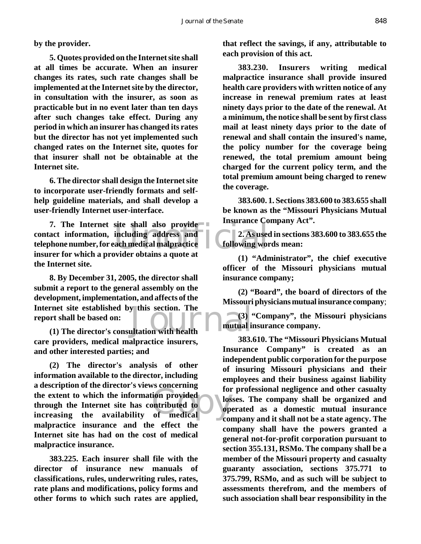**by the provider.**

**5. Quotes provided on the Internet site shall at all times be accurate. When an insurer changes its rates, such rate changes shall be implemented at the Internet site by the director, in consultation with the insurer, as soon as practicable but in no event later than ten days after such changes take effect. During any period in which an insurer has changed its rates but the director has not yet implemented such changed rates on the Internet site, quotes for that insurer shall not be obtainable at the Internet site.**

**6. The director shall design the Internet site to incorporate user-friendly formats and selfhelp guideline materials, and shall develop a user-friendly Internet user-interface.**

site shall also provide<br>
including address and<br>
ach medical malpractice<br>
ach medical malpractice<br>  $\begin{array}{c} \hline \text{2.} \text{As} \text{ used} \\ \text{following} \text{ would be obtained by the equation of the equation.} \end{array}$ **7. The Internet site shall also provide contact information, including address and telephone number, for each medical malpractice insurer for which a provider obtains a quote at the Internet site.**

rnet site established by this section. The<br>
rt shall be based on:<br>
(1) The director's consultation with health<br>
1934 **8. By December 31, 2005, the director shall submit a report to the general assembly on the development, implementation, and affects of the Internet site established by this section. The report shall be based on:**

**care providers, medical malpractice insurers, and other interested parties; and**

the extent to which the information provided<br>through the Internet site has contributed to<br>increasing the availability of medical **(2) The director's analysis of other information available to the director, including a description of the director's views concerning through the Internet site has contributed to increasing the availability of medical malpractice insurance and the effect the Internet site has had on the cost of medical malpractice insurance.**

**383.225. Each insurer shall file with the director of insurance new manuals of classifications, rules, underwriting rules, rates, rate plans and modifications, policy forms and other forms to which such rates are applied,**

**that reflect the savings, if any, attributable to each provision of this act.**

**383.230. Insurers writing medical malpractice insurance shall provide insured health care providers with written notice of any increase in renewal premium rates at least ninety days prior to the date of the renewal. At a minimum, the notice shall be sent by first class mail at least ninety days prior to the date of renewal and shall contain the insured's name, the policy number for the coverage being renewed, the total premium amount being charged for the current policy term, and the total premium amount being charged to renew the coverage.**

**383.600. 1. Sections 383.600 to 383.655 shall be known as the "Missouri Physicians Mutual Insurance Company Act".**

**2. As used in sections 383.600 to 383.655 the following words mean:**

**(1) "Administrator", the chief executive officer of the Missouri physicians mutual insurance company;**

**(2) "Board", the board of directors of the Missouri physicians mutual insurance company**;

**(3) "Company", the Missouri physicians mutual insurance company.**

**383.610. The "Missouri Physicians Mutual Insurance Company" is created as an independent public corporation for the purpose of insuring Missouri physicians and their employees and their business against liability for professional negligence and other casualty losses. The company shall be organized and operated as a domestic mutual insurance company and it shall not be a state agency. The company shall have the powers granted a general not-for-profit corporation pursuant to section 355.131, RSMo. The company shall be a member of the Missouri property and casualty guaranty association, sections 375.771 to 375.799, RSMo, and as such will be subject to assessments therefrom, and the members of such association shall bear responsibility in the**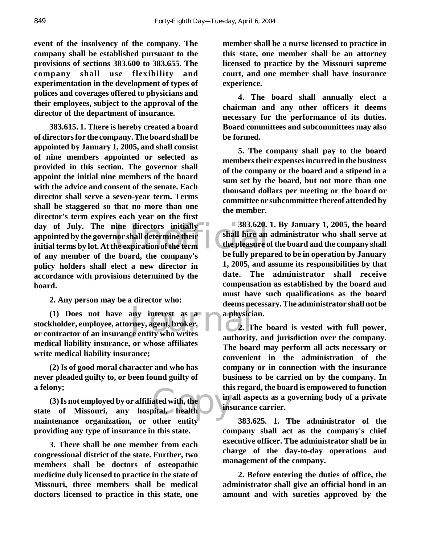**event of the insolvency of the company. The company shall be established pursuant to the provisions of sections 383.600 to 383.655. The company shall use flexibility and experimentation in the development of types of polices and coverages offered to physicians and their employees, subject to the approval of the director of the department of insurance.**

day of July. The nine directors initially<br>
appointed by the governor shall determine their<br>
initial terms by lot. At the expiration of the term<br>
of one member of the heavy the components befully prepa **383.615. 1. There is hereby created a board of directors for the company. The board shall be appointed by January 1, 2005, and shall consist of nine members appointed or selected as provided in this section. The governor shall appoint the initial nine members of the board with the advice and consent of the senate. Each director shall serve a seven-year term. Terms shall be staggered so that no more than one director's term expires each year on the first appointed by the governor shall determine their initial terms by lot. At the expiration of the term of any member of the board, the company's policy holders shall elect a new director in accordance with provisions determined by the board.**

**2. Any person may be a director who:**

any interest as a<br>rney, agent, broker,<br>ce entity who writes **(1) Does not have any interest as a stockholder, employee, attorney, agent, broker, or contractor of an insurance entity who writes medical liability insurance, or whose affiliates write medical liability insurance;**

**(2) Is of good moral character and who has never pleaded guilty to, or been found guilty of a felony;**

ated with, the and the solution of the same state of the same state of the same state of the same state of the<br>Contract of the same state of the same state of the same state of the same state of the same state of the same **(3) Is not employed by or affiliated with, the state of Missouri, any hospital, health maintenance organization, or other entity providing any type of insurance in this state.**

**3. There shall be one member from each congressional district of the state. Further, two members shall be doctors of osteopathic medicine duly licensed to practice in the state of Missouri, three members shall be medical doctors licensed to practice in this state, one**

**member shall be a nurse licensed to practice in this state, one member shall be an attorney licensed to practice by the Missouri supreme court, and one member shall have insurance experience.**

**4. The board shall annually elect a chairman and any other officers it deems necessary for the performance of its duties. Board committees and subcommittees may also be formed.**

**5. The company shall pay to the board members their expenses incurred in the business of the company or the board and a stipend in a sum set by the board, but not more than one thousand dollars per meeting or the board or committee or subcommittee thereof attended by the member.**

**383.620. 1. By January 1, 2005, the board shall hire an administrator who shall serve at the pleasure of the board and the company shall be fully prepared to be in operation by January 1, 2005, and assume its responsibilities by that date. The administrator shall receive compensation as established by the board and must have such qualifications as the board deems necessary. The administrator shall not be a physician.**

**2. The board is vested with full power, authority, and jurisdiction over the company. The board may perform all acts necessary or convenient in the administration of the company or in connection with the insurance business to be carried on by the company. In this regard, the board is empowered to function in all aspects as a governing body of a private insurance carrier.**

**383.625. 1. The administrator of the company shall act as the company's chief executive officer. The administrator shall be in charge of the day-to-day operations and management of the company.**

**2. Before entering the duties of office, the administrator shall give an official bond in an amount and with sureties approved by the**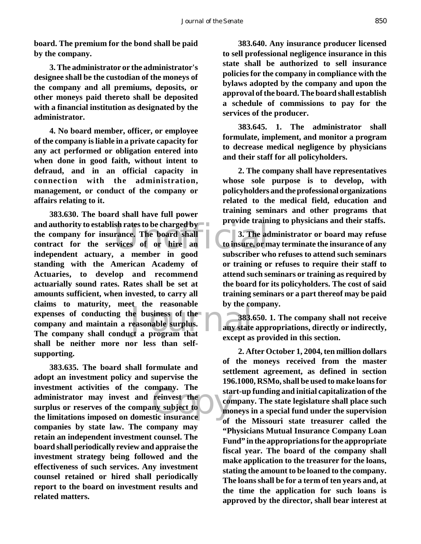**board. The premium for the bond shall be paid by the company.**

**3. The administrator or the administrator's designee shall be the custodian of the moneys of the company and all premiums, deposits, or other moneys paid thereto shall be deposited with a financial institution as designated by the administrator.**

**4. No board member, officer, or employee of the company is liable in a private capacity for any act performed or obligation entered into when done in good faith, without intent to defraud, and in an official capacity in connection with the administration, management, or conduct of the company or affairs relating to it.**

sh rates to be charged by<br>
rance. The board shall<br>
rvices of or hire and to insure, or n<br>
a member in good subscriber when Et the reasonable<br>
in the business of the<br>
reasonable surplus.<br>
The surplus of the and the second as **383.630. The board shall have full power and authority to establish rates to be charged by the company for insurance. The board shall contract for the services of or hire an independent actuary, a member in good standing with the American Academy of Actuaries, to develop and recommend actuarially sound rates. Rates shall be set at amounts sufficient, when invested, to carry all claims to maturity, meet the reasonable expenses of conducting the business of the company and maintain a reasonable surplus. The company shall conduct a program that shall be neither more nor less than selfsupporting.**

mpany. The<br>
reinvest the<br>
my subject to<br>
tic insurance **383.635. The board shall formulate and adopt an investment policy and supervise the investment activities of the company. The administrator may invest and reinvest the surplus or reserves of the company subject to the limitations imposed on domestic insurance companies by state law. The company may retain an independent investment counsel. The board shall periodically review and appraise the investment strategy being followed and the effectiveness of such services. Any investment counsel retained or hired shall periodically report to the board on investment results and related matters.**

**383.640. Any insurance producer licensed to sell professional negligence insurance in this state shall be authorized to sell insurance policies for the company in compliance with the bylaws adopted by the company and upon the approval of the board. The board shall establish a schedule of commissions to pay for the services of the producer.**

**383.645. 1. The administrator shall formulate, implement, and monitor a program to decrease medical negligence by physicians and their staff for all policyholders.**

**2. The company shall have representatives whose sole purpose is to develop, with policyholders and the professional organizations related to the medical field, education and training seminars and other programs that provide training to physicians and their staffs.**

**3. The administrator or board may refuse to insure, or may terminate the insurance of any subscriber who refuses to attend such seminars or training or refuses to require their staff to attend such seminars or training as required by the board for its policyholders. The cost of said training seminars or a part thereof may be paid by the company.**

**383.650. 1. The company shall not receive any state appropriations, directly or indirectly, except as provided in this section.**

**2. After October 1, 2004, ten million dollars of the moneys received from the master settlement agreement, as defined in section 196.1000, RSMo, shall be used to make loans for start-up funding and initial capitalization of the company. The state legislature shall place such moneys in a special fund under the supervision of the Missouri state treasurer called the "Physicians Mutual Insurance Company Loan Fund" in the appropriations for the appropriate fiscal year. The board of the company shall make application to the treasurer for the loans, stating the amount to be loaned to the company. The loans shall be for a term of ten years and, at the time the application for such loans is approved by the director, shall bear interest at**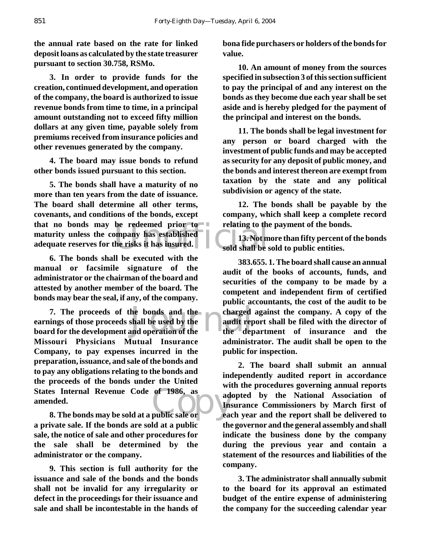**the annual rate based on the rate for linked deposit loans as calculated by the state treasurer pursuant to section 30.758, RSMo.**

**3. In order to provide funds for the creation, continued development, and operation of the company, the board is authorized to issue revenue bonds from time to time, in a principal amount outstanding not to exceed fifty million dollars at any given time, payable solely from premiums received from insurance policies and other revenues generated by the company.**

**4. The board may issue bonds to refund other bonds issued pursuant to this section.**

be redeemed prior to relating to the<br>
ompany has established<br>
the risks it has insured.<br>
the sold shall be s **5. The bonds shall have a maturity of no more than ten years from the date of issuance. The board shall determine all other terms, covenants, and conditions of the bonds, except that no bonds may be redeemed prior to maturity unless the company has established adequate reserves for the risks it has insured.**

**6. The bonds shall be executed with the manual or facsimile signature of the administrator or the chairman of the board and attested by another member of the board. The bonds may bear the seal, if any, of the company.**

7. The proceeds of the bonds and the charged<br>earnings of those proceeds shall be used by the audit rep<br>board for the development and operation of the the dep External Revenue Code of 1986, as added.<br> **8. The bonds may be sold at a public sale or 7. The proceeds of the bonds and the earnings of those proceeds shall be used by the Missouri Physicians Mutual Insurance Company, to pay expenses incurred in the preparation, issuance, and sale of the bonds and to pay any obligations relating to the bonds and the proceeds of the bonds under the United States Internal Revenue Code of 1986, as amended.**

**a private sale. If the bonds are sold at a public sale, the notice of sale and other procedures for the sale shall be determined by the administrator or the company.**

**9. This section is full authority for the issuance and sale of the bonds and the bonds shall not be invalid for any irregularity or defect in the proceedings for their issuance and sale and shall be incontestable in the hands of** **bona fide purchasers or holders of the bonds for value.**

**10. An amount of money from the sources specified in subsection 3 of this section sufficient to pay the principal of and any interest on the bonds as they become due each year shall be set aside and is hereby pledged for the payment of the principal and interest on the bonds.**

**11. The bonds shall be legal investment for any person or board charged with the investment of public funds and may be accepted as security for any deposit of public money, and the bonds and interest thereon are exempt from taxation by the state and any political subdivision or agency of the state.**

**12. The bonds shall be payable by the company, which shall keep a complete record relating to the payment of the bonds.**

**13. Not more than fifty percent of the bonds sold shall be sold to public entities.**

**383.655. 1. The board shall cause an annual audit of the books of accounts, funds, and securities of the company to be made by a competent and independent firm of certified public accountants, the cost of the audit to be charged against the company. A copy of the audit report shall be filed with the director of the department of insurance and the administrator. The audit shall be open to the public for inspection.**

**2. The board shall submit an annual independently audited report in accordance with the procedures governing annual reports adopted by the National Association of Insurance Commissioners by March first of each year and the report shall be delivered to the governor and the general assembly and shall indicate the business done by the company during the previous year and contain a statement of the resources and liabilities of the company.**

**3. The administrator shall annually submit to the board for its approval an estimated budget of the entire expense of administering the company for the succeeding calendar year**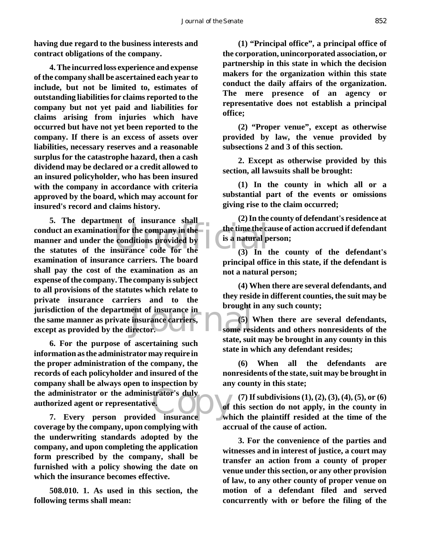**having due regard to the business interests and contract obligations of the company.**

**4. The incurred loss experience and expense of the company shall be ascertained each year to include, but not be limited to, estimates of outstanding liabilities for claims reported to the company but not yet paid and liabilities for claims arising from injuries which have occurred but have not yet been reported to the company. If there is an excess of assets over liabilities, necessary reserves and a reasonable surplus for the catastrophe hazard, then a cash dividend may be declared or a credit allowed to an insured policyholder, who has been insured with the company in accordance with criteria approved by the board, which may account for insured's record and claims history.**

conduct an examination for the company in the<br>
manner and under the conditions provided by<br>
the statutes of the insurance code for the<br>
(3) In **Internal Survey of the department of insurance in**<br>
the same manner as private insurance carriers,<br>
except as provided by the director. **5. The department of insurance shall manner and under the conditions provided by the statutes of the insurance code for the examination of insurance carriers. The board shall pay the cost of the examination as an expense of the company. The company is subject to all provisions of the statutes which relate to private insurance carriers and to the the same manner as private insurance carriers, except as provided by the director.**

**Properties American**<br> **17.** Every person provided insurance when the set of the set of the set of the set of the set of the set of the set of the set of the set of the set of the set of the set of the set of the set of th **6. For the purpose of ascertaining such information as the administrator may require in the proper administration of the company, the records of each policyholder and insured of the company shall be always open to inspection by the administrator or the administrator's duly authorized agent or representative.**

**coverage by the company, upon complying with the underwriting standards adopted by the company, and upon completing the application form prescribed by the company, shall be furnished with a policy showing the date on which the insurance becomes effective.**

**508.010. 1. As used in this section, the following terms shall mean:**

**(1) "Principal office", a principal office of the corporation, unincorporated association, or partnership in this state in which the decision makers for the organization within this state conduct the daily affairs of the organization. The mere presence of an agency or representative does not establish a principal office;**

**(2) "Proper venue", except as otherwise provided by law, the venue provided by subsections 2 and 3 of this section.**

**2. Except as otherwise provided by this section, all lawsuits shall be brought:**

**(1) In the county in which all or a substantial part of the events or omissions giving rise to the claim occurred;**

**(2) In the county of defendant's residence at the time the cause of action accrued if defendant is a natural person;**

**(3) In the county of the defendant's principal office in this state, if the defendant is not a natural person;**

**(4) When there are several defendants, and they reside in different counties, the suit may be brought in any such county;**

**(5) When there are several defendants, some residents and others nonresidents of the state, suit may be brought in any county in this state in which any defendant resides;**

**(6) When all the defendants are nonresidents of the state, suit may be brought in any county in this state;**

**(7) If subdivisions (1), (2), (3), (4), (5), or (6) of this section do not apply, in the county in which the plaintiff resided at the time of the accrual of the cause of action.**

**3. For the convenience of the parties and witnesses and in interest of justice, a court may transfer an action from a county of proper venue under this section, or any other provision of law, to any other county of proper venue on motion of a defendant filed and served concurrently with or before the filing of the**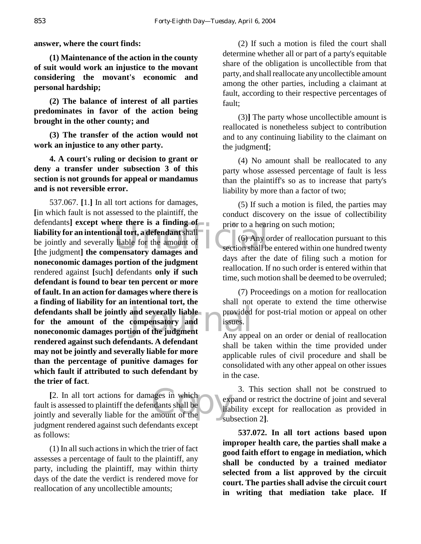**answer, where the court finds:**

**(1) Maintenance of the action in the county of suit would work an injustice to the movant considering the movant's economic and personal hardship;**

**(2) The balance of interest of all parties predominates in favor of the action being brought in the other county; and**

**(3) The transfer of the action would not work an injustice to any other party.**

**4. A court's ruling or decision to grant or deny a transfer under subsection 3 of this section is not grounds for appeal or mandamus and is not reversible error.**

prior to a hear<br> **all tort, a defendant** shall<br>
liable for the amount of<br> **pensatory damages and**<br> **Example 1** (6) Any of<br> **Example 1** (6) Any of<br> **Example 1** (6) Any of<br> **Example 1** (6) Any of defendants shall be jointly and severally liable<br>for the amount of the compensatory and<br>noneconomic damages portion of the judgment<br>Any appe 537.067. **[**1.**]** In all tort actions for damages, **[**in which fault is not assessed to the plaintiff, the defendants**] except where there is a finding of liability for an intentional tort, a defendant** shall be jointly and severally liable for the amount of **[**the judgment**] the compensatory damages and noneconomic damages portion of the judgment** rendered against **[**such**]** defendants **only if such defendant is found to bear ten percent or more of fault. In an action for damages where there is a finding of liability for an intentional tort, the defendants shall be jointly and severally liable for the amount of the compensatory and rendered against such defendants. A defendant may not be jointly and severally liable for more than the percentage of punitive damages for which fault if attributed to such defendant by the trier of fact**.

[2. In all tort actions for damages in which<br>is assessed to plaintiff the defendants shall be<br>ly and severally liable for the amount of the fault is assessed to plaintiff the defendants shall be jointly and severally liable for the amount of the judgment rendered against such defendants except as follows:

(1) In all such actions in which the trier of fact assesses a percentage of fault to the plaintiff, any party, including the plaintiff, may within thirty days of the date the verdict is rendered move for reallocation of any uncollectible amounts;

(2) If such a motion is filed the court shall determine whether all or part of a party's equitable share of the obligation is uncollectible from that party, and shall reallocate any uncollectible amount among the other parties, including a claimant at fault, according to their respective percentages of fault;

(3)**]** The party whose uncollectible amount is reallocated is nonetheless subject to contribution and to any continuing liability to the claimant on the judgment**[**;

(4) No amount shall be reallocated to any party whose assessed percentage of fault is less than the plaintiff's so as to increase that party's liability by more than a factor of two;

(5) If such a motion is filed, the parties may conduct discovery on the issue of collectibility prior to a hearing on such motion;

(6) Any order of reallocation pursuant to this section shall be entered within one hundred twenty days after the date of filing such a motion for reallocation. If no such order is entered within that time, such motion shall be deemed to be overruled;

(7) Proceedings on a motion for reallocation shall not operate to extend the time otherwise provided for post-trial motion or appeal on other issues.

Any appeal on an order or denial of reallocation shall be taken within the time provided under applicable rules of civil procedure and shall be consolidated with any other appeal on other issues in the case.

3. This section shall not be construed to expand or restrict the doctrine of joint and several liability except for reallocation as provided in subsection 2**]**.

**537.072. In all tort actions based upon improper health care, the parties shall make a good faith effort to engage in mediation, which shall be conducted by a trained mediator selected from a list approved by the circuit court. The parties shall advise the circuit court in writing that mediation take place. If**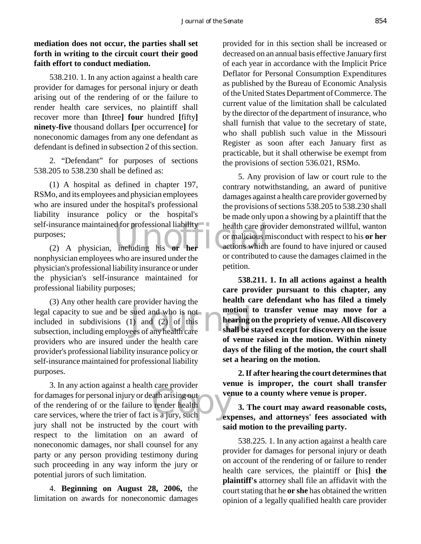# **mediation does not occur, the parties shall set forth in writing to the circuit court their good faith effort to conduct mediation.**

538.210. 1. In any action against a health care provider for damages for personal injury or death arising out of the rendering of or the failure to render health care services, no plaintiff shall recover more than **[**three**] four** hundred **[**fifty**] ninety-five** thousand dollars **[**per occurrence**]** for noneconomic damages from any one defendant as defendant is defined in subsection 2 of this section.

2. "Defendant" for purposes of sections 538.205 to 538.230 shall be defined as:

insurance maintained for professional liability<br>
oses;<br>
(2) A physician, including his **or her**<br> **or nations which**<br> **or nations which** (1) A hospital as defined in chapter 197, RSMo, and its employees and physician employees who are insured under the hospital's professional liability insurance policy or the hospital's self-insurance maintained for professional liability purposes;

nonphysician employees who are insured under the physician's professional liability insurance or under the physician's self-insurance maintained for professional liability purposes;

sued and who is not<br>
1) and (2) of this<br>
ees of any health care<br> **Constant of the state of the state of the state of the state of the state of the state of the state of the state of the state of the state of the state of t** (3) Any other health care provider having the legal capacity to sue and be sued and who is not included in subdivisions (1) and (2) of this subsection, including employees of any health care providers who are insured under the health care provider's professional liability insurance policy or self-insurance maintained for professional liability purposes.

The provider<br>
ath arising out<br>
render health<br>
is a jury, such<br>
exp 3. In any action against a health care provider for damages for personal injury or death arising out of the rendering of or the failure to render health care services, where the trier of fact is a jury, such jury shall not be instructed by the court with respect to the limitation on an award of noneconomic damages, nor shall counsel for any party or any person providing testimony during such proceeding in any way inform the jury or potential jurors of such limitation.

4. **Beginning on August 28, 2006,** the limitation on awards for noneconomic damages

provided for in this section shall be increased or decreased on an annual basis effective January first of each year in accordance with the Implicit Price Deflator for Personal Consumption Expenditures as published by the Bureau of Economic Analysis of the United States Department of Commerce. The current value of the limitation shall be calculated by the director of the department of insurance, who shall furnish that value to the secretary of state, who shall publish such value in the Missouri Register as soon after each January first as practicable, but it shall otherwise be exempt from the provisions of section 536.021, RSMo.

5. Any provision of law or court rule to the contrary notwithstanding, an award of punitive damages against a health care provider governed by the provisions of sections 538.205 to 538.230 shall be made only upon a showing by a plaintiff that the health care provider demonstrated willful, wanton or malicious misconduct with respect to his **or her** actions which are found to have injured or caused or contributed to cause the damages claimed in the petition.

**538.211. 1. In all actions against a health care provider pursuant to this chapter, any health care defendant who has filed a timely motion to transfer venue may move for a hearing on the propriety of venue. All discovery shall be stayed except for discovery on the issue of venue raised in the motion. Within ninety days of the filing of the motion, the court shall set a hearing on the motion.**

**2. If after hearing the court determines that venue is improper, the court shall transfer venue to a county where venue is proper.**

**3. The court may award reasonable costs, expenses, and attorneys' fees associated with said motion to the prevailing party.**

538.225. 1. In any action against a health care provider for damages for personal injury or death on account of the rendering of or failure to render health care services, the plaintiff or **[**his**] the plaintiff's** attorney shall file an affidavit with the court stating that he **or she** has obtained the written opinion of a legally qualified health care provider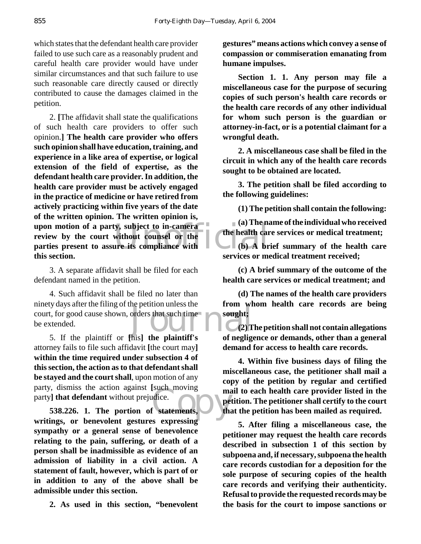which states that the defendant health care provider failed to use such care as a reasonably prudent and careful health care provider would have under similar circumstances and that such failure to use such reasonable care directly caused or directly contributed to cause the damages claimed in the petition.

upon motion of a party, subject to in-camera<br>
review by the court without counsel or the<br>
parties present to assure its compliance with<br>
this section 2. **[**The affidavit shall state the qualifications of such health care providers to offer such opinion.**] The health care provider who offers such opinion shall have education, training, and experience in a like area of expertise, or logical extension of the field of expertise, as the defendant health care provider. In addition, the health care provider must be actively engaged in the practice of medicine or have retired from actively practicing within five years of the date of the written opinion. The written opinion is, review by the court without counsel or the parties present to assure its compliance with this section.**

3. A separate affidavit shall be filed for each defendant named in the petition.

orders that such time<br>bisiline neighborhood and the negligible of negligi 4. Such affidavit shall be filed no later than ninety days after the filing of the petition unless the court, for good cause shown, orders that such time be extended.

5. If the plaintiff or **[**his**] the plaintiff's** attorney fails to file such affidavit **[**the court may**] within the time required under subsection 4 of this section, the action as to that defendant shall be stayed and the court shall**, upon motion of any party, dismiss the action against **[**such moving party**] that defendant** without prejudice.

such moving<br>
dice.<br>
f statements,<br>
se expressing **538.226. 1. The portion of statements, writings, or benevolent gestures expressing sympathy or a general sense of benevolence relating to the pain, suffering, or death of a person shall be inadmissible as evidence of an admission of liability in a civil action. A statement of fault, however, which is part of or in addition to any of the above shall be admissible under this section.**

**2. As used in this section, "benevolent**

**gestures" means actions which convey a sense of compassion or commiseration emanating from humane impulses.**

**Section 1. 1. Any person may file a miscellaneous case for the purpose of securing copies of such person's health care records or the health care records of any other individual for whom such person is the guardian or attorney-in-fact, or is a potential claimant for a wrongful death.**

**2. A miscellaneous case shall be filed in the circuit in which any of the health care records sought to be obtained are located.**

**3. The petition shall be filed according to the following guidelines:**

**(1) The petition shall contain the following:**

**(a) The name of the individual who received the health care services or medical treatment;**

**(b) A brief summary of the health care services or medical treatment received;**

**(c) A brief summary of the outcome of the health care services or medical treatment; and**

**(d) The names of the health care providers from whom health care records are being sought;**

**(2) The petition shall not contain allegations of negligence or demands, other than a general demand for access to health care records.**

**4. Within five business days of filing the miscellaneous case, the petitioner shall mail a copy of the petition by regular and certified mail to each health care provider listed in the petition. The petitioner shall certify to the court that the petition has been mailed as required.**

**5. After filing a miscellaneous case, the petitioner may request the health care records described in subsection 1 of this section by subpoena and, if necessary, subpoena the health care records custodian for a deposition for the sole purpose of securing copies of the health care records and verifying their authenticity. Refusal to provide the requested records may be the basis for the court to impose sanctions or**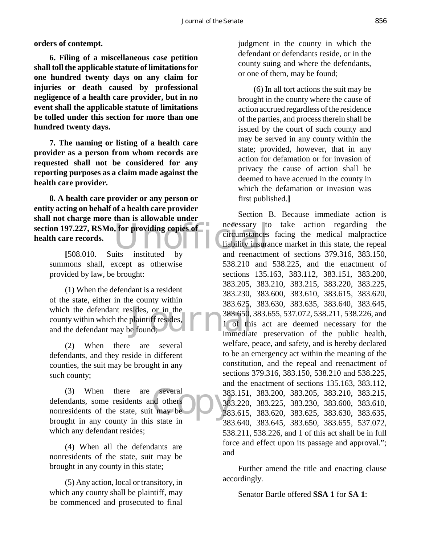**orders of contempt.**

**6. Filing of a miscellaneous case petition shall toll the applicable statute of limitations for one hundred twenty days on any claim for injuries or death caused by professional negligence of a health care provider, but in no event shall the applicable statute of limitations be tolled under this section for more than one hundred twenty days.**

**7. The naming or listing of a health care provider as a person from whom records are requested shall not be considered for any reporting purposes as a claim made against the health care provider.**

**section 197.227, RSMo, for providing copies of**<br> **health care records.**<br>
[508.010 Suits instituted by and reenactment **8. A health care provider or any person or entity acting on behalf of a health care provider shall not charge more than is allowable under health care records.**

**[**508.010. Suits instituted by summons shall, except as otherwise provided by law, be brought:

sides, or in the<br>plaintiff resides, and the state of this immediate immediate (1) When the defendant is a resident of the state, either in the county within which the defendant resides, or in the county within which the plaintiff resides, and the defendant may be found;

(2) When there are several defendants, and they reside in different counties, the suit may be brought in any such county;

several 38 (3) When there are several defendants, some residents and others nonresidents of the state, suit may be brought in any county in this state in which any defendant resides;

(4) When all the defendants are nonresidents of the state, suit may be brought in any county in this state;

(5) Any action, local or transitory, in which any county shall be plaintiff, may be commenced and prosecuted to final judgment in the county in which the defendant or defendants reside, or in the county suing and where the defendants, or one of them, may be found;

(6) In all tort actions the suit may be brought in the county where the cause of action accrued regardless of the residence of the parties, and process therein shall be issued by the court of such county and may be served in any county within the state; provided, however, that in any action for defamation or for invasion of privacy the cause of action shall be deemed to have accrued in the county in which the defamation or invasion was first published.**]**

Section B. Because immediate action is necessary to take action regarding the circumstances facing the medical malpractice liability insurance market in this state, the repeal and reenactment of sections 379.316, 383.150, 538.210 and 538.225, and the enactment of sections 135.163, 383.112, 383.151, 383.200, 383.205, 383.210, 383.215, 383.220, 383.225, 383.230, 383.600, 383.610, 383.615, 383.620, 383.625, 383.630, 383.635, 383.640, 383.645, 383.650, 383.655, 537.072, 538.211, 538.226, and 1 of this act are deemed necessary for the immediate preservation of the public health, welfare, peace, and safety, and is hereby declared to be an emergency act within the meaning of the constitution, and the repeal and reenactment of sections 379.316, 383.150, 538.210 and 538.225, and the enactment of sections 135.163, 383.112, 383.151, 383.200, 383.205, 383.210, 383.215, 383.220, 383.225, 383.230, 383.600, 383.610, 383.615, 383.620, 383.625, 383.630, 383.635, 383.640, 383.645, 383.650, 383.655, 537.072, 538.211, 538.226, and 1 of this act shall be in full force and effect upon its passage and approval."; and

Further amend the title and enacting clause accordingly.

Senator Bartle offered **SSA 1** for **SA 1**: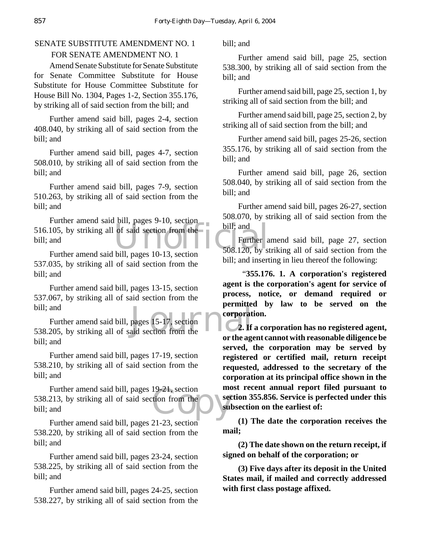# SENATE SUBSTITUTE AMENDMENT NO. 1 FOR SENATE AMENDMENT NO. 1

Amend Senate Substitute for Senate Substitute for Senate Committee Substitute for House Substitute for House Committee Substitute for House Bill No. 1304, Pages 1-2, Section 355.176, by striking all of said section from the bill; and

Further amend said bill, pages 2-4, section 408.040, by striking all of said section from the bill; and

Further amend said bill, pages 4-7, section 508.010, by striking all of said section from the bill; and

Further amend said bill, pages 7-9, section 510.263, by striking all of said section from the bill; and

516.105, by striking all of said section from the<br>bill; and<br>Further amend said bill pages 10-13 section 508.120, by st Further amend said bill, pages 9-10, section bill; and

Further amend said bill, pages 10-13, section 537.035, by striking all of said section from the bill; and

Further amend said bill, pages 13-15, section 537.067, by striking all of said section from the bill; and

pages 15-17, section<br>aid section from the corporat Further amend said bill, pages 15-17, section 538.205, by striking all of said section from the bill; and

Further amend said bill, pages 17-19, section 538.210, by striking all of said section from the bill; and

19-21, section<br>tion from the set Further amend said bill, pages 19-21, section 538.213, by striking all of said section from the bill; and

Further amend said bill, pages 21-23, section 538.220, by striking all of said section from the bill; and

Further amend said bill, pages 23-24, section 538.225, by striking all of said section from the bill; and

Further amend said bill, pages 24-25, section 538.227, by striking all of said section from the bill; and

Further amend said bill, page 25, section 538.300, by striking all of said section from the bill; and

Further amend said bill, page 25, section 1, by striking all of said section from the bill; and

Further amend said bill, page 25, section 2, by striking all of said section from the bill; and

Further amend said bill, pages 25-26, section 355.176, by striking all of said section from the bill; and

Further amend said bill, page 26, section 508.040, by striking all of said section from the bill; and

Further amend said bill, pages 26-27, section 508.070, by striking all of said section from the bill; and

Further amend said bill, page 27, section 508.120, by striking all of said section from the bill; and inserting in lieu thereof the following:

 "**355.176. 1. A corporation's registered agent is the corporation's agent for service of process, notice, or demand required or permitted by law to be served on the corporation.**

**2. If a corporation has no registered agent, or the agent cannot with reasonable diligence be served, the corporation may be served by registered or certified mail, return receipt requested, addressed to the secretary of the corporation at its principal office shown in the most recent annual report filed pursuant to section 355.856. Service is perfected under this subsection on the earliest of:**

**(1) The date the corporation receives the mail;**

**(2) The date shown on the return receipt, if signed on behalf of the corporation; or**

**(3) Five days after its deposit in the United States mail, if mailed and correctly addressed with first class postage affixed.**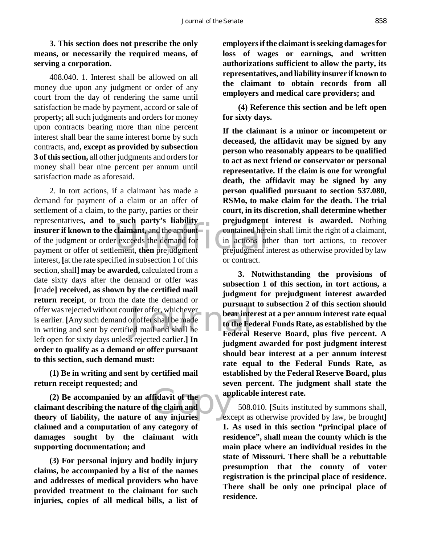# **3. This section does not prescribe the only means, or necessarily the required means, of serving a corporation.**

408.040. 1. Interest shall be allowed on all money due upon any judgment or order of any court from the day of rendering the same until satisfaction be made by payment, accord or sale of property; all such judgments and orders for money upon contracts bearing more than nine percent interest shall bear the same interest borne by such contracts, and**, except as provided by subsection 3 of this section,** all other judgments and orders for money shall bear nine percent per annum until satisfaction made as aforesaid.

Frequences is the contained to the claimant, and the amount<br>
of the judgment or order exceeds the demand for<br>
payment or offer of settlement, then prejudgment in prejudgment in offer was rejected without counter offer, whichever<br>is earlier. [Any such demand or offer shall be made<br>in writing and sent by certified mail and shall be<br>left to the Federal 2. In tort actions, if a claimant has made a demand for payment of a claim or an offer of settlement of a claim, to the party, parties or their representatives**, and to such party's liability insurer if known to the claimant,** and the amount of the judgment or order exceeds the demand for interest, **[**at the rate specified in subsection 1 of this section, shall**] may** be **awarded,** calculated from a date sixty days after the demand or offer was **[**made**] received, as shown by the certified mail return receipt**, or from the date the demand or offer was rejected without counter offer, whichever is earlier. **[**Any such demand or offer shall be made left open for sixty days unless rejected earlier.**] In order to qualify as a demand or offer pursuant to this section, such demand must:**

**(1) Be in writing and sent by certified mail return receipt requested; and**

(2) Be accompanied by an affidavit of the<br>claimant describing the nature of the claim and<br>theory of liability, the nature of any injuries **(2) Be accompanied by an affidavit of the claimant describing the nature of the claim and claimed and a computation of any category of damages sought by the claimant with supporting documentation; and**

**(3) For personal injury and bodily injury claims, be accompanied by a list of the names and addresses of medical providers who have provided treatment to the claimant for such injuries, copies of all medical bills, a list of**

**employers if the claimant is seeking damages for loss of wages or earnings, and written authorizations sufficient to allow the party, its representatives, and liability insurer if known to the claimant to obtain records from all employers and medical care providers; and**

**(4) Reference this section and be left open for sixty days.**

**If the claimant is a minor or incompetent or deceased, the affidavit may be signed by any person who reasonably appears to be qualified to act as next friend or conservator or personal representative. If the claim is one for wrongful death, the affidavit may be signed by any person qualified pursuant to section 537.080, RSMo, to make claim for the death. The trial court, in its discretion, shall determine whether prejudgment interest is awarded.** Nothing contained herein shall limit the right of a claimant, in actions other than tort actions, to recover prejudgment interest as otherwise provided by law or contract.

**3. Notwithstanding the provisions of subsection 1 of this section, in tort actions, a judgment for prejudgment interest awarded pursuant to subsection 2 of this section should bear interest at a per annum interest rate equal to the Federal Funds Rate, as established by the Federal Reserve Board, plus five percent. A judgment awarded for post judgment interest should bear interest at a per annum interest rate equal to the Federal Funds Rate, as established by the Federal Reserve Board, plus seven percent. The judgment shall state the applicable interest rate.**

508.010. **[**Suits instituted by summons shall, except as otherwise provided by law, be brought**] 1. As used in this section "principal place of residence", shall mean the county which is the main place where an individual resides in the state of Missouri. There shall be a rebuttable presumption that the county of voter registration is the principal place of residence. There shall be only one principal place of residence.**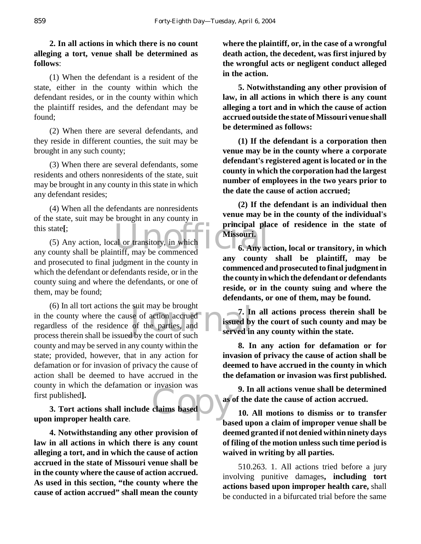## **2. In all actions in which there is no count alleging a tort, venue shall be determined as follows**:

(1) When the defendant is a resident of the state, either in the county within which the defendant resides, or in the county within which the plaintiff resides, and the defendant may be found;

(2) When there are several defendants, and they reside in different counties, the suit may be brought in any such county;

(3) When there are several defendants, some residents and others nonresidents of the state, suit may be brought in any county in this state in which any defendant resides;

(4) When all the defendants are nonresidents of the state, suit may be brought in any county in this state**[**;

this state[;<br>
(5) Any action, local or transitory, in which<br>
any county shall be plaintiff, may be commenced<br> **6. Any action** (5) Any action, local or transitory, in which and prosecuted to final judgment in the county in which the defendant or defendants reside, or in the county suing and where the defendants, or one of them, may be found;

sut may be brought<br>se of action accrued<br>of the parties, and<br>d by the court of such<br>served in (6) In all tort actions the suit may be brought in the county where the cause of action accrued regardless of the residence of the parties, and process therein shall be issued by the court of such county and may be served in any county within the state; provided, however, that in any action for defamation or for invasion of privacy the cause of action shall be deemed to have accrued in the county in which the defamation or invasion was first published**].**

claims based **3. Tort actions shall include claims based upon improper health care**.

**4. Notwithstanding any other provision of law in all actions in which there is any count alleging a tort, and in which the cause of action accrued in the state of Missouri venue shall be in the county where the cause of action accrued. As used in this section, "the county where the cause of action accrued" shall mean the county**

**where the plaintiff, or, in the case of a wrongful death action, the decedent, was first injured by the wrongful acts or negligent conduct alleged in the action.**

**5. Notwithstanding any other provision of law, in all actions in which there is any count alleging a tort and in which the cause of action accrued outside the state of Missouri venue shall be determined as follows:**

**(1) If the defendant is a corporation then venue may be in the county where a corporate defendant's registered agent is located or in the county in which the corporation had the largest number of employees in the two years prior to the date the cause of action accrued;**

**(2) If the defendant is an individual then venue may be in the county of the individual's principal place of residence in the state of Missouri.**

**6. Any action, local or transitory, in which any county shall be plaintiff, may be commenced and prosecuted to final judgment in the county in which the defendant or defendants reside, or in the county suing and where the defendants, or one of them, may be found.**

**7. In all actions process therein shall be issued by the court of such county and may be served in any county within the state.**

**8. In any action for defamation or for invasion of privacy the cause of action shall be deemed to have accrued in the county in which the defamation or invasion was first published.**

**9. In all actions venue shall be determined as of the date the cause of action accrued.**

**10. All motions to dismiss or to transfer based upon a claim of improper venue shall be deemed granted if not denied within ninety days of filing of the motion unless such time period is waived in writing by all parties.**

510.263. 1. All actions tried before a jury involving punitive damages**, including tort actions based upon improper health care,** shall be conducted in a bifurcated trial before the same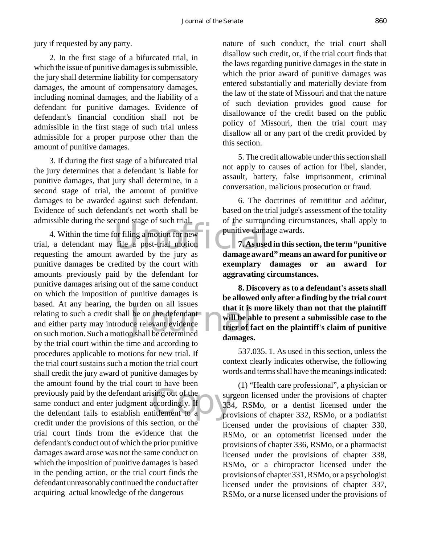jury if requested by any party.

2. In the first stage of a bifurcated trial, in which the issue of punitive damages is submissible, the jury shall determine liability for compensatory damages, the amount of compensatory damages, including nominal damages, and the liability of a defendant for punitive damages. Evidence of defendant's financial condition shall not be admissible in the first stage of such trial unless admissible for a proper purpose other than the amount of punitive damages.

3. If during the first stage of a bifurcated trial the jury determines that a defendant is liable for punitive damages, that jury shall determine, in a second stage of trial, the amount of punitive damages to be awarded against such defendant. Evidence of such defendant's net worth shall be admissible during the second stage of such trial.

or filing a motion for new-<br>file a post-trial motion<br>awarded by the jury as **damage awar** that it is<br>be on the defendant<br>ce relevant evidence<br>in shall be determined sing out of the<br>
accordingly. If<br>
titlement to a 4. Within the time for filing a motion for new trial, a defendant may file a post-trial motion requesting the amount awarded by the jury as punitive damages be credited by the court with amounts previously paid by the defendant for punitive damages arising out of the same conduct on which the imposition of punitive damages is based. At any hearing, the burden on all issues relating to such a credit shall be on the defendant and either party may introduce relevant evidence on such motion. Such a motion shall be determined by the trial court within the time and according to procedures applicable to motions for new trial. If the trial court sustains such a motion the trial court shall credit the jury award of punitive damages by the amount found by the trial court to have been previously paid by the defendant arising out of the same conduct and enter judgment accordingly. If the defendant fails to establish entitlement to a credit under the provisions of this section, or the trial court finds from the evidence that the defendant's conduct out of which the prior punitive damages award arose was not the same conduct on which the imposition of punitive damages is based in the pending action, or the trial court finds the defendant unreasonably continued the conduct after acquiring actual knowledge of the dangerous

nature of such conduct, the trial court shall disallow such credit, or, if the trial court finds that the laws regarding punitive damages in the state in which the prior award of punitive damages was entered substantially and materially deviate from the law of the state of Missouri and that the nature of such deviation provides good cause for disallowance of the credit based on the public policy of Missouri, then the trial court may disallow all or any part of the credit provided by this section.

5. The credit allowable under this section shall not apply to causes of action for libel, slander, assault, battery, false imprisonment, criminal conversation, malicious prosecution or fraud.

6. The doctrines of remittitur and additur, based on the trial judge's assessment of the totality of the surrounding circumstances, shall apply to punitive damage awards.

**7. As used in this section, the term "punitive damage award" means an award for punitive or exemplary damages or an award for aggravating circumstances.**

**8. Discovery as to a defendant's assets shall be allowed only after a finding by the trial court that it is more likely than not that the plaintiff will be able to present a submissible case to the trier of fact on the plaintiff's claim of punitive damages.**

537.035. 1. As used in this section, unless the context clearly indicates otherwise, the following words and terms shall have the meanings indicated:

(1) "Health care professional", a physician or surgeon licensed under the provisions of chapter 334, RSMo, or a dentist licensed under the provisions of chapter 332, RSMo, or a podiatrist licensed under the provisions of chapter 330, RSMo, or an optometrist licensed under the provisions of chapter 336, RSMo, or a pharmacist licensed under the provisions of chapter 338, RSMo, or a chiropractor licensed under the provisions of chapter 331, RSMo, or a psychologist licensed under the provisions of chapter 337, RSMo, or a nurse licensed under the provisions of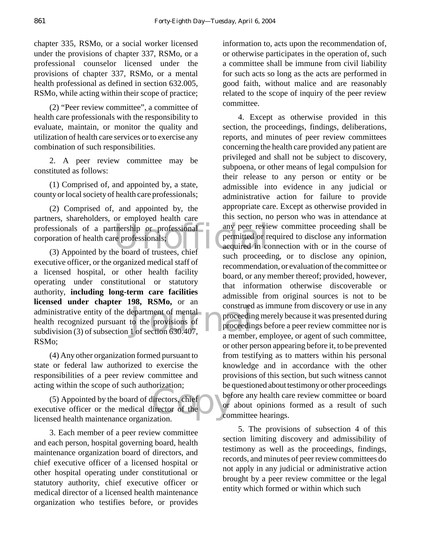chapter 335, RSMo, or a social worker licensed under the provisions of chapter 337, RSMo, or a professional counselor licensed under the provisions of chapter 337, RSMo, or a mental health professional as defined in section 632.005, RSMo, while acting within their scope of practice;

(2) "Peer review committee", a committee of health care professionals with the responsibility to evaluate, maintain, or monitor the quality and utilization of health care services or to exercise any combination of such responsibilities.

2. A peer review committee may be constituted as follows:

(1) Comprised of, and appointed by, a state, county or local society of health care professionals;

professionals of a partnership or professional any peer revised corporation of health care professionals;<br>
(3) Appointed by the board of trustees, chief (2) Comprised of, and appointed by, the partners, shareholders, or employed health care corporation of health care professionals;

Examples the department of mental<br>
administrative entity of the department of mental<br>
health recognized pursuant to the provisions of<br>
subdivision (3) of subsection 1 of section 630.407, (3) Appointed by the board of trustees, chief executive officer, or the organized medical staff of a licensed hospital, or other health facility operating under constitutional or statutory authority, **including long-term care facilities licensed under chapter 198, RSMo,** or an health recognized pursuant to the provisions of subdivision (3) of subsection 1 of section 630.407, RSMo;

(4) Any other organization formed pursuant to state or federal law authorized to exercise the responsibilities of a peer review committee and acting within the scope of such authorization;

directors, chief<br>lirector of the or<br>cation. (5) Appointed by the board of directors, chief executive officer or the medical director of the licensed health maintenance organization.

3. Each member of a peer review committee and each person, hospital governing board, health maintenance organization board of directors, and chief executive officer of a licensed hospital or other hospital operating under constitutional or statutory authority, chief executive officer or medical director of a licensed health maintenance organization who testifies before, or provides

information to, acts upon the recommendation of, or otherwise participates in the operation of, such a committee shall be immune from civil liability for such acts so long as the acts are performed in good faith, without malice and are reasonably related to the scope of inquiry of the peer review committee.

4. Except as otherwise provided in this section, the proceedings, findings, deliberations, reports, and minutes of peer review committees concerning the health care provided any patient are privileged and shall not be subject to discovery, subpoena, or other means of legal compulsion for their release to any person or entity or be admissible into evidence in any judicial or administrative action for failure to provide appropriate care. Except as otherwise provided in this section, no person who was in attendance at any peer review committee proceeding shall be permitted or required to disclose any information acquired in connection with or in the course of such proceeding, or to disclose any opinion, recommendation, or evaluation of the committee or board, or any member thereof; provided, however, that information otherwise discoverable or admissible from original sources is not to be construed as immune from discovery or use in any proceeding merely because it was presented during proceedings before a peer review committee nor is a member, employee, or agent of such committee, or other person appearing before it, to be prevented from testifying as to matters within his personal knowledge and in accordance with the other provisions of this section, but such witness cannot be questioned about testimony or other proceedings before any health care review committee or board or about opinions formed as a result of such committee hearings.

5. The provisions of subsection 4 of this section limiting discovery and admissibility of testimony as well as the proceedings, findings, records, and minutes of peer review committees do not apply in any judicial or administrative action brought by a peer review committee or the legal entity which formed or within which such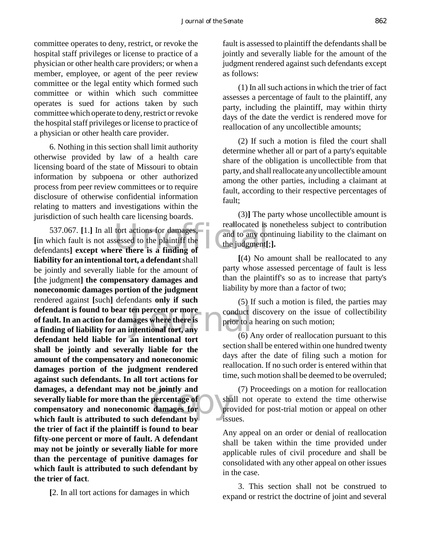committee operates to deny, restrict, or revoke the hospital staff privileges or license to practice of a physician or other health care providers; or when a member, employee, or agent of the peer review committee or the legal entity which formed such committee or within which such committee operates is sued for actions taken by such committee which operate to deny, restrict or revoke the hospital staff privileges or license to practice of a physician or other health care provider.

6. Nothing in this section shall limit authority otherwise provided by law of a health care licensing board of the state of Missouri to obtain information by subpoena or other authorized process from peer review committees or to require disclosure of otherwise confidential information relating to matters and investigations within the jurisdiction of such health care licensing boards.

537.067. [1.] In all tort actions for damages,<br>
[in which fault is not assessed to the plaintiff the defendants] **except where there is a finding of** defendant is found to bear ten percent or more<br>
of fault. In an action for damages where there is<br>
a finding of liability for an intentional tort, any<br>
<sup>16</sup> e jointly and<br>percentage of<br>damages for<br>defendant by 537.067. **[**1.**]** In all tort actions for damages, **[**in which fault is not assessed to the plaintiff the **liability for an intentional tort, a defendant** shall be jointly and severally liable for the amount of **[**the judgment**] the compensatory damages and noneconomic damages portion of the judgment** rendered against **[**such**]** defendants **only if such of fault. In an action for damages where there is a finding of liability for an intentional tort, any defendant held liable for an intentional tort shall be jointly and severally liable for the amount of the compensatory and noneconomic damages portion of the judgment rendered against such defendants. In all tort actions for damages, a defendant may not be jointly and severally liable for more than the percentage of compensatory and noneconomic damages for which fault is attributed to such defendant by the trier of fact if the plaintiff is found to bear fifty-one percent or more of fault. A defendant may not be jointly or severally liable for more than the percentage of punitive damages for which fault is attributed to such defendant by the trier of fact**.

**[**2. In all tort actions for damages in which

fault is assessed to plaintiff the defendants shall be jointly and severally liable for the amount of the judgment rendered against such defendants except as follows:

(1) In all such actions in which the trier of fact assesses a percentage of fault to the plaintiff, any party, including the plaintiff, may within thirty days of the date the verdict is rendered move for reallocation of any uncollectible amounts;

(2) If such a motion is filed the court shall determine whether all or part of a party's equitable share of the obligation is uncollectible from that party, and shall reallocate any uncollectible amount among the other parties, including a claimant at fault, according to their respective percentages of fault;

(3)**]** The party whose uncollectible amount is reallocated is nonetheless subject to contribution and to any continuing liability to the claimant on the judgment**[**;**].**

**[**(4) No amount shall be reallocated to any party whose assessed percentage of fault is less than the plaintiff's so as to increase that party's liability by more than a factor of two;

(5) If such a motion is filed, the parties may conduct discovery on the issue of collectibility prior to a hearing on such motion;

(6) Any order of reallocation pursuant to this section shall be entered within one hundred twenty days after the date of filing such a motion for reallocation. If no such order is entered within that time, such motion shall be deemed to be overruled;

(7) Proceedings on a motion for reallocation shall not operate to extend the time otherwise provided for post-trial motion or appeal on other  $\bigcup$  issues.

Any appeal on an order or denial of reallocation shall be taken within the time provided under applicable rules of civil procedure and shall be consolidated with any other appeal on other issues in the case.

3. This section shall not be construed to expand or restrict the doctrine of joint and several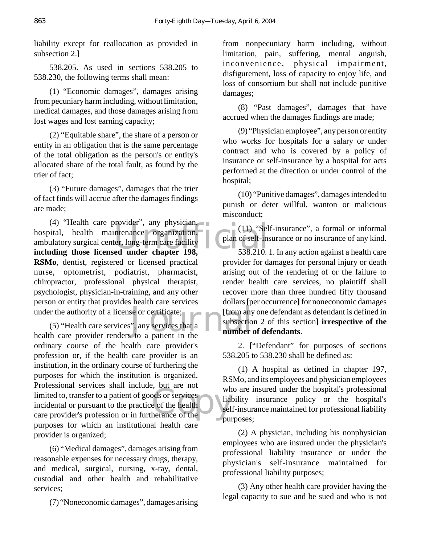liability except for reallocation as provided in subsection 2.**]**

538.205. As used in sections 538.205 to 538.230, the following terms shall mean:

(1) "Economic damages", damages arising from pecuniary harm including, without limitation, medical damages, and those damages arising from lost wages and lost earning capacity;

(2) "Equitable share", the share of a person or entity in an obligation that is the same percentage of the total obligation as the person's or entity's allocated share of the total fault, as found by the trier of fact;

(3) "Future damages", damages that the trier of fact finds will accrue after the damages findings are made;

provider, any physician,<br>
intenance organization, (11) "Sel<br>
ter, long-term care facility<br>
ed under chapter 198, 538.210. (4) "Health care provider", any physician, hospital, health maintenance organization, ambulatory surgical center, long-term care facility **including those licensed under chapter 198, RSMo**, dentist, registered or licensed practical nurse, optometrist, podiatrist, pharmacist, chiropractor, professional physical therapist, psychologist, physician-in-training, and any other person or entity that provides health care services under the authority of a license or certificate;

Se or certificate;<br>
", any services that a The processional set views shareholder, we can be with<br>
limited to, transfer to a patient of goods or services<br>
incidental or pursuant to the practice of the health<br>
care provider's profession or in furtherance of the (5) "Health care services", any services that a health care provider renders to a patient in the ordinary course of the health care provider's profession or, if the health care provider is an institution, in the ordinary course of furthering the purposes for which the institution is organized. Professional services shall include, but are not limited to, transfer to a patient of goods or services incidental or pursuant to the practice of the health purposes for which an institutional health care provider is organized;

(6) "Medical damages", damages arising from reasonable expenses for necessary drugs, therapy, and medical, surgical, nursing, x-ray, dental, custodial and other health and rehabilitative services;

(7) "Noneconomic damages", damages arising

from nonpecuniary harm including, without limitation, pain, suffering, mental anguish, inconvenience, physical impairment, disfigurement, loss of capacity to enjoy life, and loss of consortium but shall not include punitive damages;

(8) "Past damages", damages that have accrued when the damages findings are made;

(9) "Physician employee", any person or entity who works for hospitals for a salary or under contract and who is covered by a policy of insurance or self-insurance by a hospital for acts performed at the direction or under control of the hospital;

(10) "Punitive damages", damages intended to punish or deter willful, wanton or malicious misconduct;

(11) "Self-insurance", a formal or informal plan of self-insurance or no insurance of any kind.

538.210. 1. In any action against a health care provider for damages for personal injury or death arising out of the rendering of or the failure to render health care services, no plaintiff shall recover more than three hundred fifty thousand dollars **[**per occurrence**]** for noneconomic damages **[**from any one defendant as defendant is defined in subsection 2 of this section**] irrespective of the number of defendants**.

2. **[**"Defendant" for purposes of sections 538.205 to 538.230 shall be defined as:

(1) A hospital as defined in chapter 197, RSMo, and its employees and physician employees who are insured under the hospital's professional liability insurance policy or the hospital's self-insurance maintained for professional liability purposes;

(2) A physician, including his nonphysician employees who are insured under the physician's professional liability insurance or under the physician's self-insurance maintained for professional liability purposes;

(3) Any other health care provider having the legal capacity to sue and be sued and who is not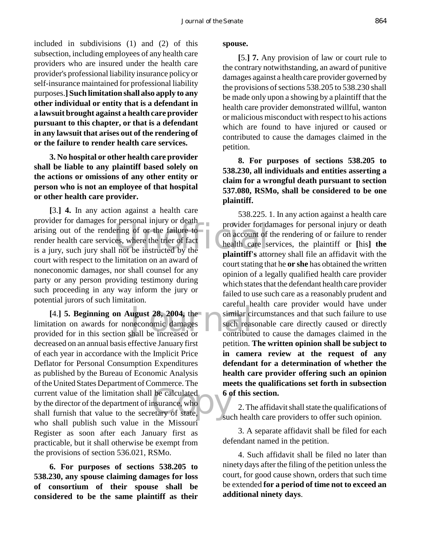included in subdivisions (1) and (2) of this subsection, including employees of any health care providers who are insured under the health care provider's professional liability insurance policy or self-insurance maintained for professional liability purposes.**] Such limitation shall also apply to any other individual or entity that is a defendant in a lawsuit brought against a health care provider pursuant to this chapter, or that is a defendant in any lawsuit that arises out of the rendering of or the failure to render health care services.**

**3. No hospital or other health care provider shall be liable to any plaintiff based solely on the actions or omissions of any other entity or person who is not an employee of that hospital or other health care provider.**

provider for danges for personal highly of death<br>arising out of the rendering of or the failure to<br>render health care services, where the trier of fact<br>is a jury, such jury shall not be instructed by the<br>**naintiff's** atto **[**3.**] 4.** In any action against a health care provider for damages for personal injury or death render health care services, where the trier of fact is a jury, such jury shall not be instructed by the court with respect to the limitation on an award of noneconomic damages, nor shall counsel for any party or any person providing testimony during such proceeding in any way inform the jury or potential jurors of such limitation.

Laterul II<br>
ineconomic damages<br>
Shall be increased or contribute be calculated<br>
msurance, who<br>
etary of state, **[**4.**] 5. Beginning on August 28, 2004,** the limitation on awards for noneconomic damages provided for in this section shall be increased or decreased on an annual basis effective January first of each year in accordance with the Implicit Price Deflator for Personal Consumption Expenditures as published by the Bureau of Economic Analysis of the United States Department of Commerce. The current value of the limitation shall be calculated by the director of the department of insurance, who shall furnish that value to the secretary of state, who shall publish such value in the Missouri Register as soon after each January first as practicable, but it shall otherwise be exempt from the provisions of section 536.021, RSMo.

**6. For purposes of sections 538.205 to 538.230, any spouse claiming damages for loss of consortium of their spouse shall be considered to be the same plaintiff as their**

#### **spouse.**

**[**5.**] 7.** Any provision of law or court rule to the contrary notwithstanding, an award of punitive damages against a health care provider governed by the provisions of sections 538.205 to 538.230 shall be made only upon a showing by a plaintiff that the health care provider demonstrated willful, wanton or malicious misconduct with respect to his actions which are found to have injured or caused or contributed to cause the damages claimed in the petition.

**8. For purposes of sections 538.205 to 538.230, all individuals and entities asserting a claim for a wrongful death pursuant to section 537.080, RSMo, shall be considered to be one plaintiff.**

538.225. 1. In any action against a health care provider for damages for personal injury or death on account of the rendering of or failure to render health care services, the plaintiff or **[**his**] the plaintiff's** attorney shall file an affidavit with the court stating that he **or she** has obtained the written opinion of a legally qualified health care provider which states that the defendant health care provider failed to use such care as a reasonably prudent and careful health care provider would have under similar circumstances and that such failure to use such reasonable care directly caused or directly contributed to cause the damages claimed in the petition. **The written opinion shall be subject to in camera review at the request of any defendant for a determination of whether the health care provider offering such an opinion meets the qualifications set forth in subsection 6 of this section.**

2. The affidavit shall state the qualifications of such health care providers to offer such opinion.

3. A separate affidavit shall be filed for each defendant named in the petition.

4. Such affidavit shall be filed no later than ninety days after the filing of the petition unless the court, for good cause shown, orders that such time be extended **for a period of time not to exceed an additional ninety days**.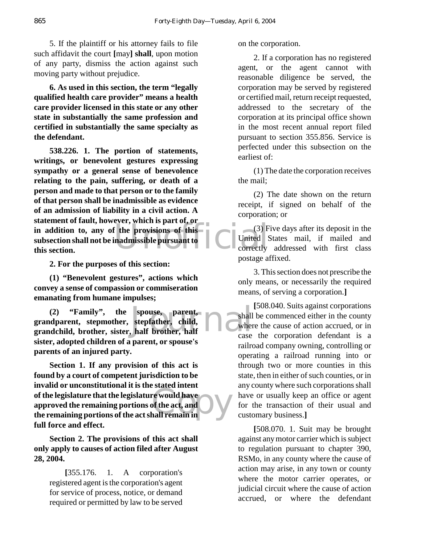5. If the plaintiff or his attorney fails to file such affidavit the court **[**may**] shall**, upon motion of any party, dismiss the action against such moving party without prejudice.

**6. As used in this section, the term "legally qualified health care provider" means a health care provider licensed in this state or any other state in substantially the same profession and certified in substantially the same specialty as the defendant.**

in addition to, any of the provisions of this<br>
subsection shall not be inadmissible pursuant to<br>
this section. **538.226. 1. The portion of statements, writings, or benevolent gestures expressing sympathy or a general sense of benevolence relating to the pain, suffering, or death of a person and made to that person or to the family of that person shall be inadmissible as evidence of an admission of liability in a civil action. A statement of fault, however, which is part of, or subsection shall not be inadmissible pursuant to this section.**

**2. For the purposes of this section:**

**(1) "Benevolent gestures", actions which convey a sense of compassion or commiseration emanating from humane impulses;**

(2) "Family", the spouse, parent, shall grandparent, stepmother, stepfather, child, when grandchild, brother, sister, half brother, half **(2) "Family", the spouse, parent, grandparent, stepmother, stepfather, child, sister, adopted children of a parent, or spouse's parents of an injured party.**

re would have<br>of the act, and<br>hall remain in **Section 1. If any provision of this act is found by a court of competent jurisdiction to be invalid or unconstitutional it is the stated intent of the legislature that the legislature would have approved the remaining portions of the act, and the remaining portions of the act shall remain in full force and effect.**

**Section 2. The provisions of this act shall only apply to causes of action filed after August 28, 2004.**

**[**355.176. 1. A corporation's registered agent is the corporation's agent for service of process, notice, or demand required or permitted by law to be served on the corporation.

2. If a corporation has no registered agent, or the agent cannot with reasonable diligence be served, the corporation may be served by registered or certified mail, return receipt requested, addressed to the secretary of the corporation at its principal office shown in the most recent annual report filed pursuant to section 355.856. Service is perfected under this subsection on the earliest of:

(1) The date the corporation receives the mail;

(2) The date shown on the return receipt, if signed on behalf of the corporation; or

(3) Five days after its deposit in the United States mail, if mailed and correctly addressed with first class postage affixed.

3. This section does not prescribe the only means, or necessarily the required means, of serving a corporation.**]**

**[**508.040. Suits against corporations shall be commenced either in the county where the cause of action accrued, or in case the corporation defendant is a railroad company owning, controlling or operating a railroad running into or through two or more counties in this state, then in either of such counties, or in any county where such corporations shall have or usually keep an office or agent for the transaction of their usual and customary business.**]**

**[**508.070. 1. Suit may be brought against any motor carrier which is subject to regulation pursuant to chapter 390, RSMo, in any county where the cause of action may arise, in any town or county where the motor carrier operates, or judicial circuit where the cause of action accrued, or where the defendant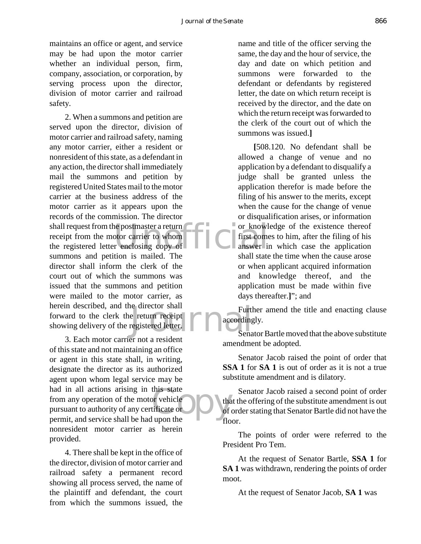maintains an office or agent, and service may be had upon the motor carrier whether an individual person, firm, company, association, or corporation, by serving process upon the director, division of motor carrier and railroad safety.

shall request from the postmaster a return<br>
receipt from the motor carrier to whom<br>
the registered letter enclosing copy of<br>
The shall state e director shall<br>
e return receipt<br>
registered letter.<br>
Sena 2. When a summons and petition are served upon the director, division of motor carrier and railroad safety, naming any motor carrier, either a resident or nonresident of this state, as a defendant in any action, the director shall immediately mail the summons and petition by registered United States mail to the motor carrier at the business address of the motor carrier as it appears upon the records of the commission. The director receipt from the motor carrier to whom the registered letter enclosing copy of summons and petition is mailed. The director shall inform the clerk of the court out of which the summons was issued that the summons and petition were mailed to the motor carrier, as herein described, and the director shall forward to the clerk the return receipt showing delivery of the registered letter.

this state<br>
or vehicle<br>
dificate or<br>
lupon the<br>
flo 3. Each motor carrier not a resident of this state and not maintaining an office or agent in this state shall, in writing, designate the director as its authorized agent upon whom legal service may be had in all actions arising in this state from any operation of the motor vehicle pursuant to authority of any certificate or permit, and service shall be had upon the nonresident motor carrier as herein provided.

4. There shall be kept in the office of the director, division of motor carrier and railroad safety a permanent record showing all process served, the name of the plaintiff and defendant, the court from which the summons issued, the name and title of the officer serving the same, the day and the hour of service, the day and date on which petition and summons were forwarded to the defendant or defendants by registered letter, the date on which return receipt is received by the director, and the date on which the return receipt was forwarded to the clerk of the court out of which the summons was issued.**]**

**[**508.120. No defendant shall be allowed a change of venue and no application by a defendant to disqualify a judge shall be granted unless the application therefor is made before the filing of his answer to the merits, except when the cause for the change of venue or disqualification arises, or information or knowledge of the existence thereof first comes to him, after the filing of his answer in which case the application shall state the time when the cause arose or when applicant acquired information and knowledge thereof, and the application must be made within five days thereafter.**]**"; and

Further amend the title and enacting clause accordingly.

Senator Bartle moved that the above substitute amendment be adopted.

Senator Jacob raised the point of order that **SSA 1** for **SA 1** is out of order as it is not a true substitute amendment and is dilatory.

Senator Jacob raised a second point of order that the offering of the substitute amendment is out of order stating that Senator Bartle did not have the floor.

The points of order were referred to the President Pro Tem.

At the request of Senator Bartle, **SSA 1** for **SA 1** was withdrawn, rendering the points of order moot.

At the request of Senator Jacob, **SA 1** was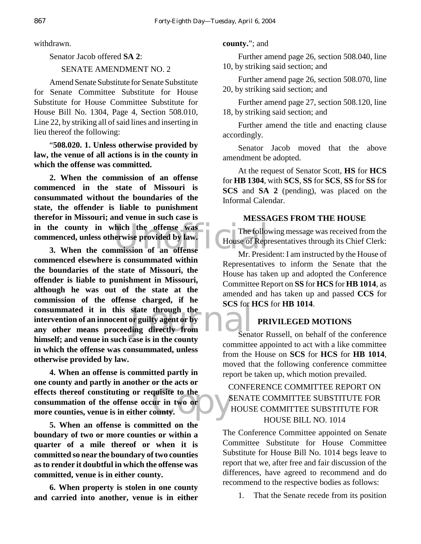withdrawn.

Senator Jacob offered **SA 2**:

## SENATE AMENDMENT NO. 2

Amend Senate Substitute for Senate Substitute for Senate Committee Substitute for House Substitute for House Committee Substitute for House Bill No. 1304, Page 4, Section 508.010, Line 22, by striking all of said lines and inserting in lieu thereof the following:

# "**508.020. 1. Unless otherwise provided by law, the venue of all actions is in the county in which the offense was committed.**

Unofficial **in the county in which the offense was 2. When the commission of an offense commenced in the state of Missouri is consummated without the boundaries of the state, the offender is liable to punishment therefor in Missouri; and venue in such case is commenced, unless otherwise provided by law.**

consummated it in this state through the<br>
intervention of an innocent or guilty agent or by<br>
any other means proceeding directly from<br>
Line of the state of the state of the state of the state of the state of the state of t **3. When the commission of an offense commenced elsewhere is consummated within the boundaries of the state of Missouri, the offender is liable to punishment in Missouri, although he was out of the state at the commission of the offense charged, if he consummated it in this state through the intervention of an innocent or guilty agent or by himself; and venue in such case is in the county in which the offense was consummated, unless otherwise provided by law.**

effects thereof constituting or requisite to the consummation of the offense occur in two or **non-4. When an offense is committed partly in one county and partly in another or the acts or consummation of the offense occur in two or more counties, venue is in either county.**

**5. When an offense is committed on the boundary of two or more counties or within a quarter of a mile thereof or when it is committed so near the boundary of two counties as to render it doubtful in which the offense was committed, venue is in either county.**

**6. When property is stolen in one county and carried into another, venue is in either**

## **county.**"; and

Further amend page 26, section 508.040, line 10, by striking said section; and

Further amend page 26, section 508.070, line 20, by striking said section; and

Further amend page 27, section 508.120, line 18, by striking said section; and

Further amend the title and enacting clause accordingly.

Senator Jacob moved that the above amendment be adopted.

At the request of Senator Scott, **HS** for **HCS** for **HB 1304**, with **SCS**, **SS** for **SCS**, **SS** for **SS** for **SCS** and **SA 2** (pending), was placed on the Informal Calendar.

## **MESSAGES FROM THE HOUSE**

The following message was received from the House of Representatives through its Chief Clerk:

Mr. President: I am instructed by the House of Representatives to inform the Senate that the House has taken up and adopted the Conference Committee Report on **SS** for **HCS** for **HB 1014**, as amended and has taken up and passed **CCS** for **SCS** for **HCS** for **HB 1014**.

# **PRIVILEGED MOTIONS**

Senator Russell, on behalf of the conference committee appointed to act with a like committee from the House on **SCS** for **HCS** for **HB 1014**, moved that the following conference committee report be taken up, which motion prevailed.

# CONFERENCE COMMITTEE REPORT ON SENATE COMMITTEE SUBSTITUTE FOR HOUSE COMMITTEE SUBSTITUTE FOR HOUSE BILL NO. 1014

The Conference Committee appointed on Senate Committee Substitute for House Committee Substitute for House Bill No. 1014 begs leave to report that we, after free and fair discussion of the differences, have agreed to recommend and do recommend to the respective bodies as follows:

1. That the Senate recede from its position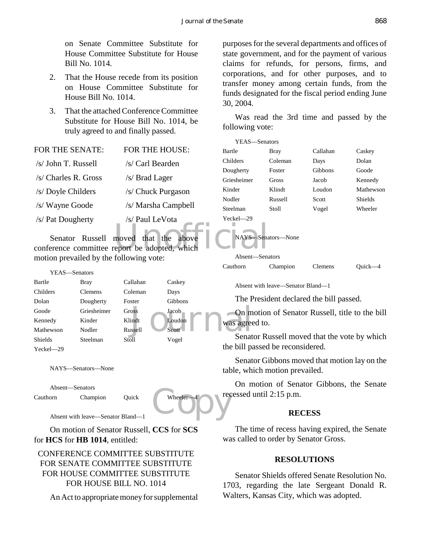on Senate Committee Substitute for House Committee Substitute for House Bill No. 1014.

- 2. That the House recede from its position on House Committee Substitute for House Bill No. 1014.
- 3. That the attached Conference Committee Substitute for House Bill No. 1014, be truly agreed to and finally passed.

| FOR THE SENATE:       | FOR THE HOUSE:      |
|-----------------------|---------------------|
| /s/ John T. Russell   | /s/ Carl Bearden    |
| $/s$ Charles R. Gross | /s/ Brad Lager      |
| /s/ Doyle Childers    | /s/ Chuck Purgason  |
| /s/ Wayne Goode       | /s/ Marsha Campbell |
|                       |                     |

- /s/ Pat Dougherty /s/ Paul LeVota
- 

Senator Russell moved that the above  $\bigcap_{n=1}^{\infty}$  NAYS Senator Russell moved that the above Senator Russell moved that the above motion prevailed by the following vote:

|               | YEAS—Senators  |          |         |             |
|---------------|----------------|----------|---------|-------------|
| Bartle        | Bray           | Callahan | Caskey  | Absent      |
| Childers      | <b>Clemens</b> | Coleman  | Days    |             |
| Dolan         | Dougherty      | Foster   | Gibbons | The P       |
| Goode         | Griesheimer    | Gross    | Jacob   | On m        |
| Kennedy       | Kinder         | Klindt   | Loudon  | was agree   |
| Mathewson     | Nodler         | Russell  | Scott   |             |
| Shields       | Steelman       | Stoll    | Vogel   | Senat       |
| $Yeckel - 29$ |                |          |         | the bill pa |

NAYS—Senators—None

Absent—Senators Cauthorn Champion Quick Wheeler-

Absent with leave—Senator Bland—1

On motion of Senator Russell, **CCS** for **SCS** for **HCS** for **HB 1014**, entitled:

# CONFERENCE COMMITTEE SUBSTITUTE FOR SENATE COMMITTEE SUBSTITUTE FOR HOUSE COMMITTEE SUBSTITUTE FOR HOUSE BILL NO. 1014

An Act to appropriate money for supplemental

purposes for the several departments and offices of state government, and for the payment of various claims for refunds, for persons, firms, and corporations, and for other purposes, and to transfer money among certain funds, from the funds designated for the fiscal period ending June 30, 2004.

Was read the 3rd time and passed by the following vote:

| YEAS—Senators |         |          |                |
|---------------|---------|----------|----------------|
| Bartle        | Bray    | Callahan | Caskey         |
| Childers      | Coleman | Days     | Dolan          |
| Dougherty     | Foster  | Gibbons  | Goode          |
| Griesheimer   | Gross   | Jacob    | Kennedy        |
| Kinder        | Klindt  | Loudon   | Mathewson      |
| Nodler        | Russell | Scott    | <b>Shields</b> |
| Steelman      | Stoll   | Vogel    | Wheeler        |
| $Yeckel - 29$ |         |          |                |
|               |         |          |                |

NAYS—Senators—None

| Absent—Senators |          |                |           |
|-----------------|----------|----------------|-----------|
| Cauthorn        | Champion | <b>Clemens</b> | $Quick-4$ |

Absent with leave—Senator Bland—1

The President declared the bill passed.

On motion of Senator Russell, title to the bill was agreed to.

Senator Russell moved that the vote by which the bill passed be reconsidered.

Senator Gibbons moved that motion lay on the table, which motion prevailed.

Wheeler 4 D On motion of Senator Gibbons, the Senate recessed until 2:15 p.m.

# **RECESS**

The time of recess having expired, the Senate was called to order by Senator Gross.

# **RESOLUTIONS**

Senator Shields offered Senate Resolution No. 1703, regarding the late Sergeant Donald R. Walters, Kansas City, which was adopted.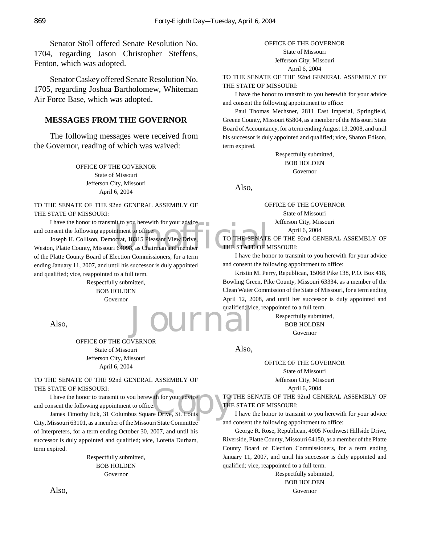Senator Stoll offered Senate Resolution No. 1704, regarding Jason Christopher Steffens, Fenton, which was adopted.

Senator Caskey offered Senate Resolution No. 1705, regarding Joshua Bartholomew, Whiteman Air Force Base, which was adopted.

#### **MESSAGES FROM THE GOVERNOR**

The following messages were received from the Governor, reading of which was waived:

> OFFICE OF THE GOVERNOR State of Missouri Jefferson City, Missouri April 6, 2004

TO THE SENATE OF THE 92nd GENERAL ASSEMBLY OF THE STATE OF MISSOURI:

I have the honor to transmit to you herewith for your advice and consent the following appointment to office:

I have the honor to transmit to you herewith for your advice<br>
and consent the following appointment to office:<br>
Joseph H. Collison, Democrat, 18315 Pleasant View Drive,<br>
Weston, Platte County, Missouri 64098, as Chairman a Joseph H. Collison, Democrat, 18315 Pleasant View Drive, of the Platte County Board of Election Commissioners, for a term ending January 11, 2007, and until his successor is duly appointed and qualified; vice, reappointed to a full term.

Respectfully submitted, BOB HOLDEN Governor

Also,

OFFICE OF THE GOVERNOR State of Missouri Jefferson City, Missouri April 6, 2004

TO THE SENATE OF THE 92nd GENERAL ASSEMBLY OF THE STATE OF MISSOURI:

ith for your advice<br>
Prive, St. Louis I have the honor to transmit to you herewith for your advice and consent the following appointment to office:

James Timothy Eck, 31 Columbus Square Drive, St. Louis City, Missouri 63101, as a member of the Missouri State Committee of Interpreters, for a term ending October 30, 2007, and until his successor is duly appointed and qualified; vice, Loretta Durham, term expired.

> Respectfully submitted, BOB HOLDEN Governor

OFFICE OF THE GOVERNOR State of Missouri Jefferson City, Missouri April 6, 2004

TO THE SENATE OF THE 92nd GENERAL ASSEMBLY OF THE STATE OF MISSOURI:

I have the honor to transmit to you herewith for your advice and consent the following appointment to office:

Paul Thomas Mechsner, 2811 East Imperial, Springfield, Greene County, Missouri 65804, as a member of the Missouri State Board of Accountancy, for a term ending August 13, 2008, and until his successor is duly appointed and qualified; vice, Sharon Edison, term expired.

> Respectfully submitted, BOB HOLDEN Governor

Also,

OFFICE OF THE GOVERNOR State of Missouri Jefferson City, Missouri April 6, 2004

TO THE SENATE OF THE 92nd GENERAL ASSEMBLY OF THE STATE OF MISSOURI:

I have the honor to transmit to you herewith for your advice and consent the following appointment to office:

Journa Kristin M. Perry, Republican, 15068 Pike 138, P.O. Box 418, Bowling Green, Pike County, Missouri 63334, as a member of the Clean Water Commission of the State of Missouri, for a term ending April 12, 2008, and until her successor is duly appointed and qualified; vice, reappointed to a full term.

Respectfully submitted, BOB HOLDEN Governor

Also,

OFFICE OF THE GOVERNOR State of Missouri Jefferson City, Missouri April 6, 2004

TO THE SENATE OF THE 92nd GENERAL ASSEMBLY OF THE STATE OF MISSOURI:

I have the honor to transmit to you herewith for your advice and consent the following appointment to office:

George R. Rose, Republican, 4905 Northwest Hillside Drive, Riverside, Platte County, Missouri 64150, as a member of the Platte County Board of Election Commissioners, for a term ending January 11, 2007, and until his successor is duly appointed and qualified; vice, reappointed to a full term.

> Respectfully submitted, BOB HOLDEN Governor

Also,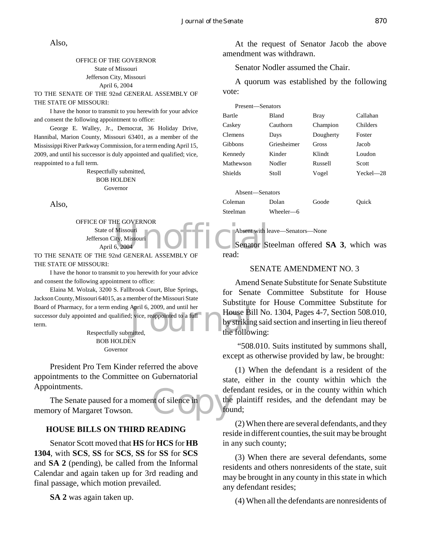Also,

#### OFFICE OF THE GOVERNOR State of Missouri Jefferson City, Missouri April 6, 2004

TO THE SENATE OF THE 92nd GENERAL ASSEMBLY OF THE STATE OF MISSOURI:

I have the honor to transmit to you herewith for your advice and consent the following appointment to office:

George E. Walley, Jr., Democrat, 36 Holiday Drive, Hannibal, Marion County, Missouri 63401, as a member of the Mississippi River Parkway Commission, for a term ending April 15, 2009, and until his successor is duly appointed and qualified; vice, reappointed to a full term.

> Respectfully submitted, BOB HOLDEN Governor

Also,

Missouri<br>
Missouri **Contract of Seconal Contract of Strategy**<br>
Missouri Contract Of Senator Strategy<br>
Missouri Contract Of Senator Strategy<br>
The Contract Of Senator Strategy<br>
The Senator Strategy<br>
The Senator Strategy<br>
The OFFICE OF THE GOVERNOR State of Missouri Jefferson City, Missouri April 6, 2004

TO THE SENATE OF THE 92nd GENERAL ASSEMBLY OF THE STATE OF MISSOURI:

I have the honor to transmit to you herewith for your advice and consent the following appointment to office:

April 6, 2009, and until her<br>
; vice, reappointed to a full<br>
by strikin<br>
the follow Elaina M. Wolzak, 3200 S. Fallbrook Court, Blue Springs, Jackson County, Missouri 64015, as a member of the Missouri State Board of Pharmacy, for a term ending April 6, 2009, and until her successor duly appointed and qualified; vice, reappointed to a full term.

Respectfully submitted, BOB HOLDEN Governor

President Pro Tem Kinder referred the above appointments to the Committee on Gubernatorial Appointments.

at of silence in the The Senate paused for a moment of silence in memory of Margaret Towson.

## **HOUSE BILLS ON THIRD READING**

Senator Scott moved that **HS** for **HCS** for **HB 1304**, with **SCS**, **SS** for **SCS**, **SS** for **SS** for **SCS** and **SA 2** (pending), be called from the Informal Calendar and again taken up for 3rd reading and final passage, which motion prevailed.

**SA 2** was again taken up.

At the request of Senator Jacob the above amendment was withdrawn.

Senator Nodler assumed the Chair.

A quorum was established by the following vote:

| Present-Senators |             |             |           |
|------------------|-------------|-------------|-----------|
| Bartle           | Bland       | <b>Bray</b> | Callahan  |
| Caskey           | Cauthorn    | Champion    | Childers  |
| Clemens          | Days        | Dougherty   | Foster    |
| Gibbons          | Griesheimer | Gross       | Jacob     |
| Kennedy          | Kinder      | Klindt      | Loudon    |
| Mathewson        | Nodler      | Russell     | Scott     |
| Shields          | Stoll       | Vogel       | Yeckel-28 |
|                  |             |             |           |
| Absent—Senators  |             |             |           |
| Coleman          | Dolan       | Goode       | Ouick     |
| Steelman         | Wheeler-6   |             |           |

Absent with leave—Senators—None

Senator Steelman offered **SA 3**, which was read:

#### SENATE AMENDMENT NO. 3

Amend Senate Substitute for Senate Substitute for Senate Committee Substitute for House Substitute for House Committee Substitute for House Bill No. 1304, Pages 4-7, Section 508.010, by striking said section and inserting in lieu thereof the following:

 "508.010. Suits instituted by summons shall, except as otherwise provided by law, be brought:

(1) When the defendant is a resident of the state, either in the county within which the defendant resides, or in the county within which the plaintiff resides, and the defendant may be found;

(2) When there are several defendants, and they reside in different counties, the suit may be brought in any such county;

(3) When there are several defendants, some residents and others nonresidents of the state, suit may be brought in any county in this state in which any defendant resides;

(4) When all the defendants are nonresidents of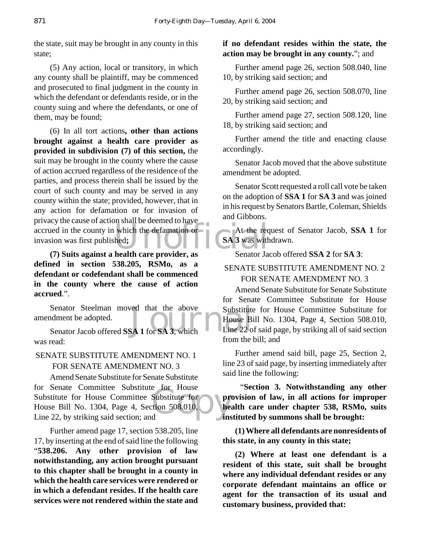the state, suit may be brought in any county in this state;

(5) Any action, local or transitory, in which any county shall be plaintiff, may be commenced and prosecuted to final judgment in the county in which the defendant or defendants reside, or in the county suing and where the defendants, or one of them, may be found;

privacy the classe of action sharp be decided to have<br>accrued in the county in which the defamation or At the req<br>invasion was first published;<br>(7) Suits against a health care provider, as Senator Ja (6) In all tort actions**, other than actions brought against a health care provider as provided in subdivision (7) of this section,** the suit may be brought in the county where the cause of action accrued regardless of the residence of the parties, and process therein shall be issued by the court of such county and may be served in any county within the state; provided, however, that in any action for defamation or for invasion of privacy the cause of action shall be deemed to have invasion was first published**;**

**(7) Suits against a health care provider, as defined in section 538.205, RSMo, as a defendant or codefendant shall be commenced in the county where the cause of action accrued**.".

Senator Steelman moved that the above<br>
Senator Jacob offered SSA 1 for SA 3, which<br>
Line 22 o Senator Steelman moved that the above amendment be adopted.

was read:

# SENATE SUBSTITUTE AMENDMENT NO. 1 FOR SENATE AMENDMENT NO. 3

e for House<br>Substitute for<br>tion 508.010,<br>d Amend Senate Substitute for Senate Substitute for Senate Committee Substitute for House Substitute for House Committee Substitute for House Bill No. 1304, Page 4, Section 508.010, Line 22, by striking said section; and

Further amend page 17, section 538.205, line 17, by inserting at the end of said line the following "**538.206. Any other provision of law notwithstanding, any action brought pursuant to this chapter shall be brought in a county in which the health care services were rendered or in which a defendant resides. If the health care services were not rendered within the state and**

# **if no defendant resides within the state, the action may be brought in any county.**"; and

Further amend page 26, section 508.040, line 10, by striking said section; and

Further amend page 26, section 508.070, line 20, by striking said section; and

Further amend page 27, section 508.120, line 18, by striking said section; and

Further amend the title and enacting clause accordingly.

Senator Jacob moved that the above substitute amendment be adopted.

Senator Scott requested a roll call vote be taken on the adoption of **SSA 1** for **SA 3** and was joined in his request by Senators Bartle, Coleman, Shields and Gibbons.

At the request of Senator Jacob, **SSA 1** for **SA 3** was withdrawn.

Senator Jacob offered **SSA 2** for **SA 3**:

## SENATE SUBSTITUTE AMENDMENT NO. 2 FOR SENATE AMENDMENT NO. 3

Amend Senate Substitute for Senate Substitute for Senate Committee Substitute for House Substitute for House Committee Substitute for House Bill No. 1304, Page 4, Section 508.010, Line 22 of said page, by striking all of said section from the bill; and

Further amend said bill, page 25, Section 2, line 23 of said page, by inserting immediately after said line the following:

 "**Section 3. Notwithstanding any other provision of law, in all actions for improper health care under chapter 538, RSMo, suits instituted by summons shall be brought:**

**(1) Where all defendants are nonresidents of this state, in any county in this state;**

**(2) Where at least one defendant is a resident of this state, suit shall be brought where any individual defendant resides or any corporate defendant maintains an office or agent for the transaction of its usual and customary business, provided that:**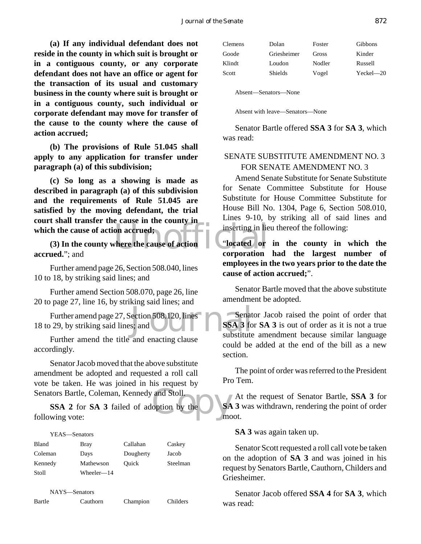**(a) If any individual defendant does not reside in the county in which suit is brought or in a contiguous county, or any corporate defendant does not have an office or agent for the transaction of its usual and customary business in the county where suit is brought or in a contiguous county, such individual or corporate defendant may move for transfer of the cause to the county where the cause of action accrued;**

**(b) The provisions of Rule 51.045 shall apply to any application for transfer under paragraph (a) of this subdivision;**

**(c) So long as a showing is made as described in paragraph (a) of this subdivision and the requirements of Rule 51.045 are satisfied by the moving defendant, the trial court shall transfer the cause in the county in which the cause of action accrued;**

on accrued;<br>
where the cause of action **(3) In the county where the cause of action accrued.**"; and

Further amend page 26, Section 508.040, lines 10 to 18, by striking said lines; and

Further amend Section 508.070, page 26, line 20 to page 27, line 16, by striking said lines; and

ection 508.120, lines<br>s; and<br>substitute Further amend page 27, Section 508.120, lines 18 to 29, by striking said lines; and

 Further amend the title and enacting clause accordingly.

Senator Jacob moved that the above substitute amendment be adopted and requested a roll call vote be taken. He was joined in his request by Senators Bartle, Coleman, Kennedy and Stoll.

and Stoll. **SSA 2** for **SA 3** failed of adoption by the following vote:

#### YEAS—Senators

| Bland   | <b>Bray</b> | Callahan  | Caskey   |
|---------|-------------|-----------|----------|
| Coleman | Days        | Dougherty | Jacob    |
| Kennedy | Mathewson   | Ouick     | Steelman |
| Stoll   | Wheeler—14  |           |          |

NAYS—Senators

| Bartle | Cauthorn | Champion | Childers |
|--------|----------|----------|----------|
|--------|----------|----------|----------|

| Clemens | Dolan       | Foster | Gibbons       |
|---------|-------------|--------|---------------|
| Goode   | Griesheimer | Gross  | Kinder        |
| Klindt  | Loudon      | Nodler | Russell       |
| Scott   | Shields     | Vogel  | $Yeckel - 20$ |

Absent—Senators—None

Absent with leave—Senators—None

Senator Bartle offered **SSA 3** for **SA 3**, which was read:

## SENATE SUBSTITUTE AMENDMENT NO. 3 FOR SENATE AMENDMENT NO. 3

Amend Senate Substitute for Senate Substitute for Senate Committee Substitute for House Substitute for House Committee Substitute for House Bill No. 1304, Page 6, Section 508.010, Lines 9-10, by striking all of said lines and inserting in lieu thereof the following:

"**located or in the county in which the corporation had the largest number of employees in the two years prior to the date the cause of action accrued;**".

Senator Bartle moved that the above substitute amendment be adopted.

Senator Jacob raised the point of order that **SSA 3** for **SA 3** is out of order as it is not a true substitute amendment because similar language could be added at the end of the bill as a new section.

The point of order was referred to the President Pro Tem.

At the request of Senator Bartle, **SSA 3** for **SA 3** was withdrawn, rendering the point of order moot.

**SA 3** was again taken up.

Senator Scott requested a roll call vote be taken on the adoption of **SA 3** and was joined in his request by Senators Bartle, Cauthorn, Childers and Griesheimer.

Senator Jacob offered **SSA 4** for **SA 3**, which was read: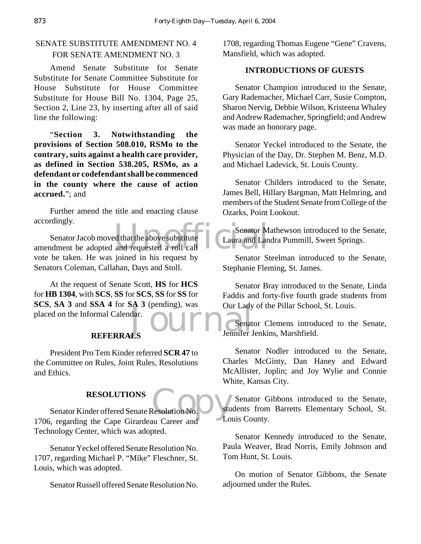# SENATE SUBSTITUTE AMENDMENT NO. 4 FOR SENATE AMENDMENT NO. 3

Amend Senate Substitute for Senate Substitute for Senate Committee Substitute for House Substitute for House Committee Substitute for House Bill No. 1304, Page 25, Section 2, Line 23, by inserting after all of said line the following:

"**Section 3. Notwithstanding the provisions of Section 508.010, RSMo to the contrary, suits against a health care provider, as defined in Section 538.205, RSMo, as a defendant or codefendant shall be commenced in the county where the cause of action accrued.**"; and

Further amend the title and enacting clause accordingly.

Senator M<br>
and requested a roll eall<br>
Laura and Lan Senator Jacob moved that the above substitute amendment be adopted and requested a roll call vote be taken. He was joined in his request by Senators Coleman, Callahan, Days and Stoll.

dar.<br>LS<br>LS<br>LS<br>LS At the request of Senate Scott, **HS** for **HCS** for **HB 1304**, with **SCS**, **SS** for **SCS**, **SS** for **SS** for **SCS**, **SA 3** and **SSA 4** for **SA 3** (pending), was placed on the Informal Calendar.

## **REFERRALS**

President Pro Tem Kinder referred **SCR 47** to the Committee on Rules, Joint Rules, Resolutions and Ethics.

## **RESOLUTIONS**

RESOLUTIONS<br>
Senator Kinder offered Senate Resolution No. 1706, regarding the Cape Girardeau Career and Technology Center, which was adopted.

Senator Yeckel offered Senate Resolution No. 1707, regarding Michael P. "Mike" Fleschner, St. Louis, which was adopted.

Senator Russell offered Senate Resolution No.

1708, regarding Thomas Eugene "Gene" Cravens, Mansfield, which was adopted.

## **INTRODUCTIONS OF GUESTS**

Senator Champion introduced to the Senate, Gary Rademacher, Michael Carr, Susie Compton, Sharon Nervig, Debbie Wilson, Kristeena Whaley and Andrew Rademacher, Springfield; and Andrew was made an honorary page.

Senator Yeckel introduced to the Senate, the Physician of the Day, Dr. Stephen M. Benz, M.D. and Michael Ladevick, St. Louis County.

Senator Childers introduced to the Senate, James Bell, Hillary Bargman, Matt Helmring, and members of the Student Senate from College of the Ozarks, Point Lookout.

Senator Mathewson introduced to the Senate, Laura and Landra Pummill, Sweet Springs.

Senator Steelman introduced to the Senate, Stephanie Fleming, St. James.

Senator Bray introduced to the Senate, Linda Faddis and forty-five fourth grade students from Our Lady of the Pillar School, St. Louis.

Senator Clemens introduced to the Senate, Jennifer Jenkins, Marshfield.

Senator Nodler introduced to the Senate, Charles McGinty, Dan Haney and Edward McAllister, Joplin; and Joy Wylie and Connie White, Kansas City.

Senator Gibbons introduced to the Senate, students from Barretts Elementary School, St. Louis County.

Senator Kennedy introduced to the Senate, Paula Weaver, Brad Norris, Emily Johnson and Tom Hunt, St. Louis.

On motion of Senator Gibbons, the Senate adjourned under the Rules.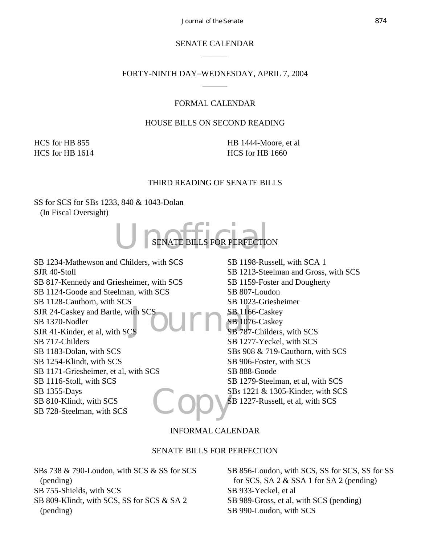*Journal of the Senate* 874

# SENATE CALENDAR  $\overline{\phantom{a}}$

# FORTY-NINTH DAY-WEDNESDAY, APRIL 7, 2004  $\overline{\phantom{a}}$

## FORMAL CALENDAR

## HOUSE BILLS ON SECOND READING

HCS for HB 855 HCS for HB 1614 HB 1444-Moore, et al HCS for HB 1660

#### THIRD READING OF SENATE BILLS

SS for SCS for SBs 1233, 840 & 1043-Dolan (In Fiscal Oversight)



ith SCS<br>
SB 1076<br>
SB 1076<br>
SB 1076<br>
SB 1076 Copy SB 1234-Mathewson and Childers, with SCS SJR 40-Stoll SB 817-Kennedy and Griesheimer, with SCS SB 1124-Goode and Steelman, with SCS SB 1128-Cauthorn, with SCS SJR 24-Caskey and Bartle, with SCS SB 1370-Nodler  $S$ JR 41-Kinder, et al, with  $SC$ SB 717-Childers SB 1183-Dolan, with SCS SB 1254-Klindt, with SCS SB 1171-Griesheimer, et al, with SCS SB 1116-Stoll, with SCS SB 1355-Days SB 810-Klindt, with SCS SB 728-Steelman, with SCS

SB 1198-Russell, with SCA 1 SB 1213-Steelman and Gross, with SCS SB 1159-Foster and Dougherty SB 807-Loudon SB 1023-Griesheimer SB 1166-Caskey SB 1076-Caskey SB 787-Childers, with SCS SB 1277-Yeckel, with SCS SBs 908 & 719-Cauthorn, with SCS SB 906-Foster, with SCS SB 888-Goode SB 1279-Steelman, et al, with SCS SBs 1221 & 1305-Kinder, with SCS SB 1227-Russell, et al, with SCS

## INFORMAL CALENDAR

#### SENATE BILLS FOR PERFECTION

SBs 738 & 790-Loudon, with SCS & SS for SCS (pending) SB 755-Shields, with SCS SB 809-Klindt, with SCS, SS for SCS & SA 2 (pending)

SB 856-Loudon, with SCS, SS for SCS, SS for SS for SCS, SA 2 & SSA 1 for SA 2 (pending) SB 933-Yeckel, et al SB 989-Gross, et al, with SCS (pending) SB 990-Loudon, with SCS